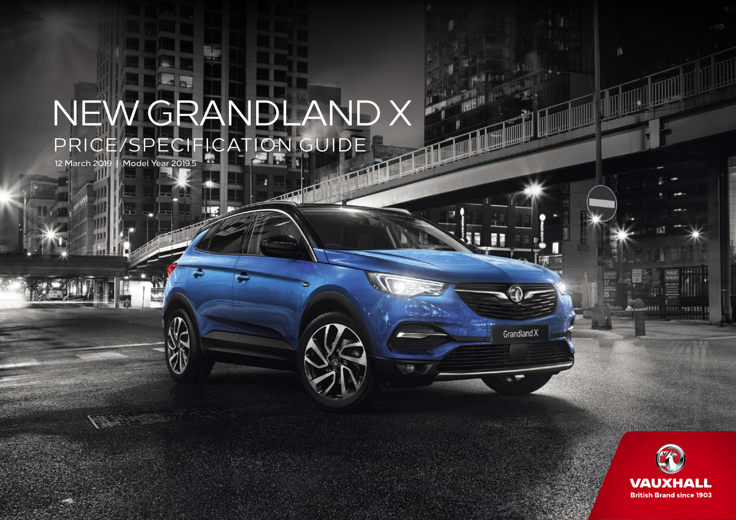# PRICE/SPECIFICATION GUIDE NEW GRANDLAND X

m.

 $\sqrt{2}$ 

12 March 2019 | Model Year 2019.5



队

Grandland X

臨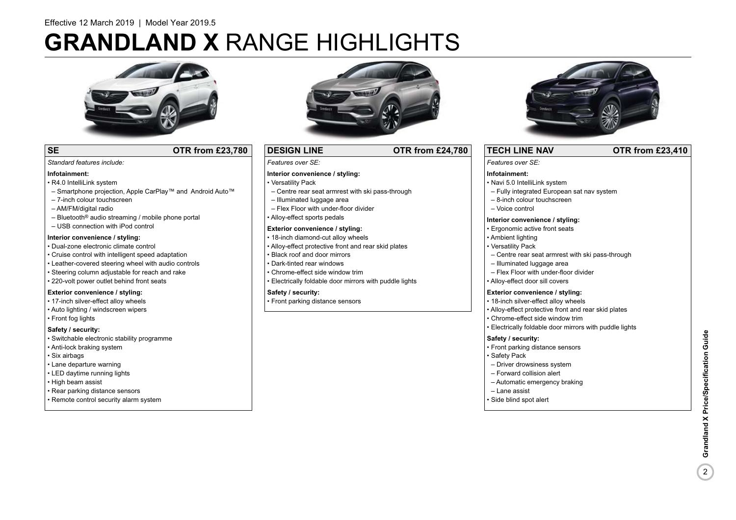# **GRANDLAND X** RANGE HIGHLIGHTS



### **SE OTR from £23,780**

### *Features over SE:*

### **Interior convenience / styling:**

- Versatility Pack
- Centre rear seat armrest with ski pass-through

**DESIGN LINE OTR from £24,780**

- Illuminated luggage area
- Flex Floor with under-floor divider
- Alloy-effect sports pedals

### **Exterior convenience / styling:**

- 18-inch diamond-cut alloy wheels
- Alloy-effect protective front and rear skid plates
- Chrome-effect side window trim
- Electrically foldable door mirrors with puddle lights

• Front parking distance sensors



### **TECH LINE NAV OTR from £23,410**

### *Features over SE:*

### **Infotainment:**

- Navi 5.0 IntelliLink system
- Fully integrated European sat nav system
- 8-inch colour touchscreen
- Voice control

#### **Interior convenience / styling:**

- Ergonomic active front seats
- Ambient lighting
- Versatility Pack
- Centre rear seat armrest with ski pass-through
- Illuminated luggage area
- Flex Floor with under-floor divider
- Alloy-effect door sill covers

### **Exterior convenience / styling:**

- 18-inch silver-effect alloy wheels
- Alloy-effect protective front and rear skid plates
- Chrome-effect side window trim • Electrically foldable door mirrors with puddle lights

### **Safety / security:**

- Front parking distance sensors
- Safety Pack
- Driver drowsiness system
- Forward collision alert
- Automatic emergency braking
- Lane assist
- Side blind spot alert

• R4.0 IntelliLink system

**Infotainment:**

*Standard features include:* 

- Smartphone projection, Apple CarPlay™ and Android Auto™
- 7-inch colour touchscreen
- AM/FM/digital radio
- $-$  Bluetooth<sup>®</sup> audio streaming / mobile phone portal
- USB connection with iPod control

### **Interior convenience / styling:**

#### • Dual-zone electronic climate control

- Cruise control with intelligent speed adaptation
- Leather-covered steering wheel with audio controls
- Steering column adjustable for reach and rake
- 220-volt power outlet behind front seats

### **Exterior convenience / styling:**

- 17-inch silver-effect alloy wheels
- Auto lighting / windscreen wipers
- Front fog lights

### **Safety / security:**

- Switchable electronic stability programme
- Anti-lock braking system
- Six airbags
- Lane departure warning
- LED daytime running lights
- High beam assist
- Rear parking distance sensors
- Remote control security alarm system



### **Safety / security:**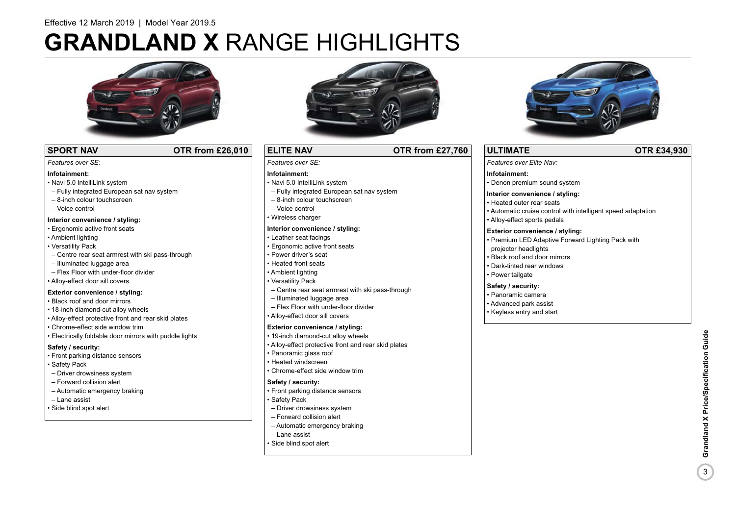# **GRANDLAND X** RANGE HIGHLIGHTS



### **SPORT NAV COTR from £26,010**

#### *Features over SE:*

### **Infotainment:**

- Navi 5.0 IntelliLink system
- Fully integrated European sat nav system
- 8-inch colour touchscreen
- Voice control

### **Interior convenience / styling:**

- Ergonomic active front seats
- Ambient lighting
- Versatility Pack
- Centre rear seat armrest with ski pass-through
- Illuminated luggage area
- Flex Floor with under-floor divider
- Alloy-effect door sill covers

### **Exterior convenience / styling:**

- Black roof and door mirrors
- 18-inch diamond-cut alloy wheels
- Alloy-effect protective front and rear skid plates
- Chrome-effect side window trim
- Electrically foldable door mirrors with puddle lights

### **Safety / security:**

- Front parking distance sensors
- Safety Pack
- Driver drowsiness system
- Forward collision alert
- Automatic emergency braking
- Lane assist
- Side blind spot alert



### **ELITE NAV OTR from £27,760**

*Features over SE:* 

### **Infotainment:**

- Navi 5.0 IntelliLink system
- Fully integrated European sat nav system
- 8-inch colour touchscreen
- Voice control
- Wireless charger

### **Interior convenience / styling:**

- Leather seat facings
- Ergonomic active front seats
- Power driver's seat
- Heated front seats
- Ambient lighting
- Versatility Pack
- Centre rear seat armrest with ski pass-through
- Illuminated luggage area
- Flex Floor with under-floor divider
- Alloy-effect door sill covers

### **Exterior convenience / styling:**

- 19-inch diamond-cut alloy wheels
- Alloy-effect protective front and rear skid plates
- Panoramic glass roof
- Heated windscreen
- Chrome-effect side window trim

### **Safety / security:**

- Front parking distance sensors
- Safety Pack
- Driver drowsiness system
- Forward collision alert
- Automatic emergency braking
- Lane assist
- Side blind spot alert



### **ULTIMATE OTR £34,930**

*Features over Elite Nav:* 

### **Infotainment:**

• Denon premium sound system

### **Interior convenience / styling:**

- Heated outer rear seats
- Automatic cruise control with intelligent speed adaptation
- Alloy-effect sports pedals

### **Exterior convenience / styling:**

- Premium LED Adaptive Forward Lighting Pack with projector headlights
- Black roof and door mirrors
- Dark-tinted rear windows
- Power tailgate

### **Safety / security:**

- Panoramic camera
- Advanced park assist
- Keyless entry and start

 $\overline{3}$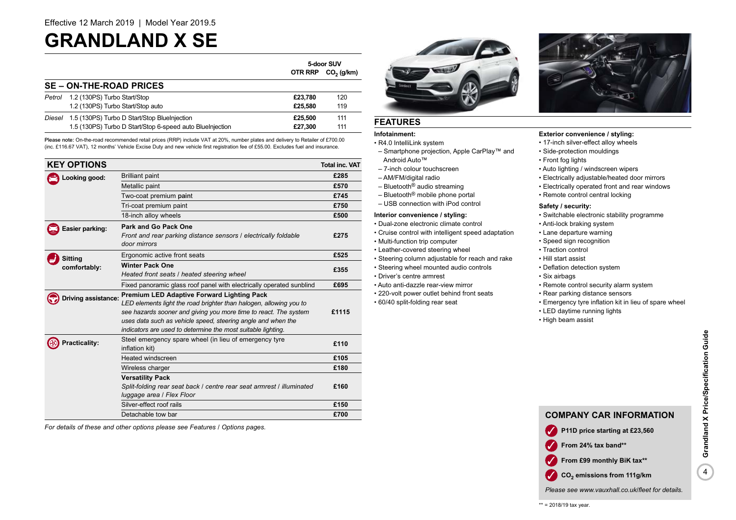### **GRANDLAND X SE**

|        |                                                           | 5-door SUV |                        |
|--------|-----------------------------------------------------------|------------|------------------------|
|        |                                                           | OTR RRP    | CO <sub>2</sub> (g/km) |
|        | <b>SE – ON-THE-ROAD PRICES</b>                            |            |                        |
| Petrol | 1.2 (130PS) Turbo Start/Stop                              | £23.780    | 120                    |
|        | 1.2 (130PS) Turbo Start/Stop auto                         | £25.580    | 119                    |
|        | Diesel 1.5 (130PS) Turbo D Start/Stop BlueInjection       | £25,500    | 111                    |
|        | 1.5 (130PS) Turbo D Start/Stop 6-speed auto Bluelnjection | £27.300    | 111                    |

Please note: On-the-road recommended retail prices (RRP) include VAT at 20%, number plates and delivery to Retailer of £700.00 (inc. £116.67 VAT), 12 months' Vehicle Excise Duty and new vehicle first registration fee of £55.00. Excludes fuel and insurance.

| <b>KEY OPTIONS</b>  |                                                                                                                                                                                                                                                                                                                             | <b>Total inc. VAT</b> |
|---------------------|-----------------------------------------------------------------------------------------------------------------------------------------------------------------------------------------------------------------------------------------------------------------------------------------------------------------------------|-----------------------|
| Looking good:       | <b>Brilliant paint</b>                                                                                                                                                                                                                                                                                                      | £285                  |
|                     | Metallic paint                                                                                                                                                                                                                                                                                                              | £570                  |
|                     | Two-coat premium paint                                                                                                                                                                                                                                                                                                      | £745                  |
|                     | Tri-coat premium paint                                                                                                                                                                                                                                                                                                      | £750                  |
|                     | 18-inch alloy wheels                                                                                                                                                                                                                                                                                                        | £500                  |
| Easier parking:     | Park and Go Pack One<br>Front and rear parking distance sensors / electrically foldable<br>door mirrors                                                                                                                                                                                                                     | £275                  |
| <b>Sitting</b>      | Ergonomic active front seats                                                                                                                                                                                                                                                                                                | £525                  |
| comfortably:        | <b>Winter Pack One</b><br>Heated front seats / heated steering wheel                                                                                                                                                                                                                                                        | £355                  |
|                     | Fixed panoramic glass roof panel with electrically operated sunblind                                                                                                                                                                                                                                                        | £695                  |
| Driving assistance: | <b>Premium LED Adaptive Forward Lighting Pack</b><br>LED elements light the road brighter than halogen, allowing you to<br>see hazards sooner and giving you more time to react. The system<br>uses data such as vehicle speed, steering angle and when the<br>indicators are used to determine the most suitable lighting. | £1115                 |
| Practicality:       | Steel emergency spare wheel (in lieu of emergency tyre<br>inflation kit)                                                                                                                                                                                                                                                    | £110                  |
|                     | <b>Heated windscreen</b>                                                                                                                                                                                                                                                                                                    | £105                  |
|                     | Wireless charger                                                                                                                                                                                                                                                                                                            | £180                  |
|                     | <b>Versatility Pack</b><br>Split-folding rear seat back / centre rear seat armrest / illuminated<br>luggage area / Flex Floor                                                                                                                                                                                               | £160                  |
|                     | Silver-effect roof rails                                                                                                                                                                                                                                                                                                    | £150                  |
|                     | Detachable tow bar                                                                                                                                                                                                                                                                                                          | £700                  |

*For details of these and other options please see Features / Options pages.*



### **FEATURES**

### **Infotainment:**

• R4.0 IntelliLink system

- Smartphone projection, Apple CarPlay™ and Android Auto™
- 7-inch colour touchscreen
- AM/FM/digital radio
- Bluetooth® audio streaming
- Bluetooth® mobile phone portal
- USB connection with iPod control

### **Interior convenience / styling:**

- Dual-zone electronic climate control
- Cruise control with intelligent speed adaptation
- Multi-function trip computer
- Leather-covered steering wheel
- Steering column adjustable for reach and rake • Steering wheel mounted audio controls
- Driver's centre armrest
- Auto anti-dazzle rear-view mirror
- 220-volt power outlet behind front seats
- 60/40 split-folding rear seat



### **Exterior convenience / styling:**

- 17-inch silver-effect alloy wheels
- Side-protection mouldings
- Front fog lights
- Auto lighting / windscreen wipers
- Electrically adjustable/heated door mirrors
- Electrically operated front and rear windows
- Remote control central locking

### **Safety / security:**

- Switchable electronic stability programme
- Anti-lock braking system
- Lane departure warning
- Speed sign recognition
- Traction control
- Hill start assist
- Deflation detection system
- Six airbags
- Remote control security alarm system
- Rear parking distance sensors
- Emergency tyre inflation kit in lieu of spare wheel
- LED daytime running lights
- High beam assist



*Please see www.vauxhall.co.uk/fleet for details.*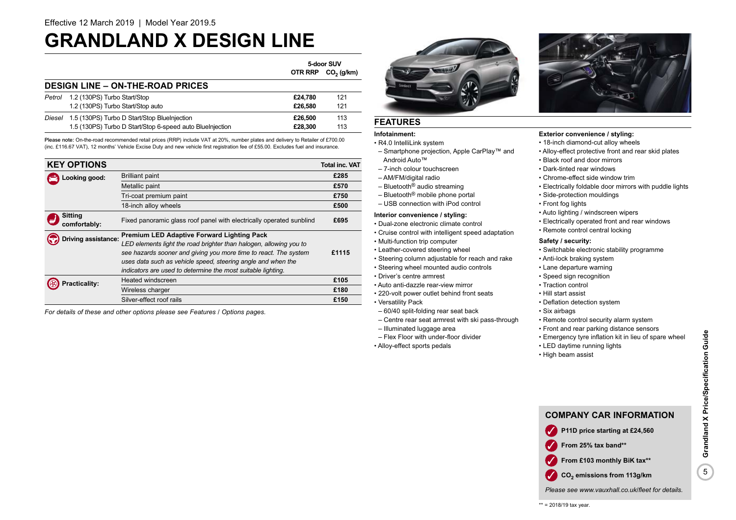### **GRANDLAND X DESIGN LINE**

|        |                                                           | 5-door SUV |              |
|--------|-----------------------------------------------------------|------------|--------------|
|        |                                                           | OTR RRP    | $CO2$ (g/km) |
|        | <b>DESIGN LINE - ON-THE-ROAD PRICES</b>                   |            |              |
| Petrol | 1.2 (130PS) Turbo Start/Stop                              | £24.780    | 121          |
|        | 1.2 (130PS) Turbo Start/Stop auto                         | £26,580    | 121          |
| Diesel | 1.5 (130PS) Turbo D Start/Stop BlueInjection              | £26,500    | 113          |
|        | 1.5 (130PS) Turbo D Start/Stop 6-speed auto BlueInjection | £28.300    | 113          |

Please note: On-the-road recommended retail prices (RRP) include VAT at 20%, number plates and delivery to Retailer of £700.00 (inc. £116.67 VAT), 12 months' Vehicle Excise Duty and new vehicle first registration fee of £55.00. Excludes fuel and insurance.

| <b>KEY OPTIONS</b>             |                                                                                                                                                                                                                                                                                                                             | <b>Total inc. VAT</b> |
|--------------------------------|-----------------------------------------------------------------------------------------------------------------------------------------------------------------------------------------------------------------------------------------------------------------------------------------------------------------------------|-----------------------|
| Looking good:                  | <b>Brilliant paint</b>                                                                                                                                                                                                                                                                                                      | £285                  |
|                                | Metallic paint                                                                                                                                                                                                                                                                                                              | £570                  |
|                                | Tri-coat premium paint                                                                                                                                                                                                                                                                                                      | £750                  |
|                                | 18-inch alloy wheels                                                                                                                                                                                                                                                                                                        | £500                  |
| <b>Sitting</b><br>comfortably: | Fixed panoramic glass roof panel with electrically operated sunblind                                                                                                                                                                                                                                                        | £695                  |
| Triving assistance:            | <b>Premium LED Adaptive Forward Lighting Pack</b><br>LED elements light the road brighter than halogen, allowing you to<br>see hazards sooner and giving you more time to react. The system<br>uses data such as vehicle speed, steering angle and when the<br>indicators are used to determine the most suitable lighting. | £1115                 |
| racticality:                   | Heated windscreen                                                                                                                                                                                                                                                                                                           | £105                  |
|                                | Wireless charger                                                                                                                                                                                                                                                                                                            | £180                  |
|                                | Silver-effect roof rails                                                                                                                                                                                                                                                                                                    | £150                  |

*For details of these and other options please see Features / Options pages.*

### **FEATURES**

### **Infotainment:**

• R4.0 IntelliLink system

- Smartphone projection, Apple CarPlay™ and Android Auto™
- 7-inch colour touchscreen
- AM/FM/digital radio
- Bluetooth® audio streaming
- Bluetooth® mobile phone portal
- USB connection with iPod control

### **Interior convenience / styling:**

- Dual-zone electronic climate control
- Cruise control with intelligent speed adaptation
- Multi-function trip computer
- Leather-covered steering wheel
- Steering column adjustable for reach and rake
- Steering wheel mounted audio controls
- Driver's centre armrest
- Auto anti-dazzle rear-view mirror
- 220-volt power outlet behind front seats
- Versatility Pack
- 60/40 split-folding rear seat back – Centre rear seat armrest with ski pass-through
- Illuminated luggage area
- Flex Floor with under-floor divider
- Alloy-effect sports pedals



### **Exterior convenience / styling:**

- 18-inch diamond-cut alloy wheels
- Alloy-effect protective front and rear skid plates
- Black roof and door mirrors
- Dark-tinted rear windows
- Chrome-effect side window trim
- Electrically foldable door mirrors with puddle lights
- Side-protection mouldings
- Front fog lights
- Auto lighting / windscreen wipers
- Electrically operated front and rear windows
- Remote control central locking

### **Safety / security:**

- Switchable electronic stability programme
- Anti-lock braking system
- Lane departure warning
- Speed sign recognition
- Traction control
- Hill start assist
- Deflation detection system
- Six airbags
- Remote control security alarm system
- Front and rear parking distance sensors
- Emergency tyre inflation kit in lieu of spare wheel
- LED daytime running lights
- High beam assist

### **COMPANY CAR INFORMATION**

- P11D price starting at £24,560
- ✓ **From 25% tax band\*\***
- **From £103 monthly BiK tax\*\***
- **CO<sub>2</sub>** emissions from 113g/km
- *Please see www.vauxhall.co.uk/fleet for details.*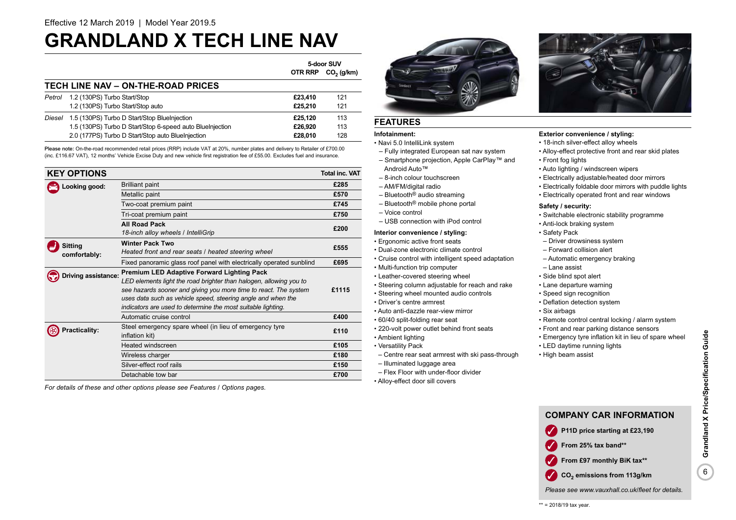### **GRANDLAND X TECH LINE NAV**

|        |                                                           | 5-door SUV     |              |
|--------|-----------------------------------------------------------|----------------|--------------|
|        |                                                           | <b>OTR RRP</b> | $CO2$ (g/km) |
|        | TECH LINE NAV - ON-THE-ROAD PRICES                        |                |              |
| Petrol | 1.2 (130PS) Turbo Start/Stop                              | £23,410        | 121          |
|        | 1.2 (130PS) Turbo Start/Stop auto                         | £25.210        | 121          |
| Diesel | 1.5 (130PS) Turbo D Start/Stop BlueInjection              | £25.120        | 113          |
|        | 1.5 (130PS) Turbo D Start/Stop 6-speed auto BlueInjection | £26.920        | 113          |
|        | 2.0 (177PS) Turbo D Start/Stop auto BlueInjection         | £28.010        | 128          |

Please note: On-the-road recommended retail prices (RRP) include VAT at 20%, number plates and delivery to Retailer of £700.00 (inc. £116.67 VAT), 12 months' Vehicle Excise Duty and new vehicle first registration fee of £55.00. Excludes fuel and insurance.

| <b>KEY OPTIONS</b>   |                                                                          | <b>Total inc. VAT</b> |
|----------------------|--------------------------------------------------------------------------|-----------------------|
| Looking good:        | <b>Brilliant paint</b>                                                   | £285                  |
|                      | Metallic paint                                                           | £570                  |
|                      | Two-coat premium paint                                                   | £745                  |
|                      | Tri-coat premium paint                                                   | £750                  |
|                      | <b>All Road Pack</b>                                                     | £200                  |
|                      | 18-inch alloy wheels / IntelliGrip                                       |                       |
| <b>Sitting</b>       | <b>Winter Pack Two</b>                                                   | £555                  |
| comfortably:         | Heated front and rear seats / heated steering wheel                      |                       |
|                      | Fixed panoramic glass roof panel with electrically operated sunblind     | £695                  |
| Driving assistance:  | <b>Premium LED Adaptive Forward Lighting Pack</b>                        |                       |
|                      | LED elements light the road brighter than halogen, allowing you to       |                       |
|                      | see hazards sooner and giving you more time to react. The system         | £1115                 |
|                      | uses data such as vehicle speed, steering angle and when the             |                       |
|                      | indicators are used to determine the most suitable lighting.             |                       |
|                      | Automatic cruise control                                                 | £400                  |
| <b>Practicality:</b> | Steel emergency spare wheel (in lieu of emergency tyre<br>inflation kit) | £110                  |
|                      | Heated windscreen                                                        | £105                  |
|                      | Wireless charger                                                         | £180                  |
|                      | Silver-effect roof rails                                                 | £150                  |
|                      | Detachable tow bar                                                       | £700                  |

*For details of these and other options please see Features / Options pages.*



### **FEATURES**

### **Infotainment:**

• Navi 5.0 IntelliLink system

- Fully integrated European sat nav system – Smartphone projection, Apple CarPlay™ and
- Android Auto™
- 8-inch colour touchscreen
- AM/FM/digital radio
- Bluetooth® audio streaming
- Bluetooth® mobile phone portal
- Voice control
- USB connection with iPod control

### **Interior convenience / styling:**

• Ergonomic active front seats

- Dual-zone electronic climate control
- Cruise control with intelligent speed adaptation
- Multi-function trip computer
- Leather-covered steering wheel
- Steering column adjustable for reach and rake
- Steering wheel mounted audio controls
- Driver's centre armrest
- Auto anti-dazzle rear-view mirror
- 60/40 split-folding rear seat
- 220-volt power outlet behind front seats
- Ambient lighting
- Versatility Pack
	- Centre rear seat armrest with ski pass-through
	- Illuminated luggage area
	- Flex Floor with under-floor divider
- Alloy-effect door sill covers



### **Exterior convenience / styling:**

- 18-inch silver-effect alloy wheels
- Alloy-effect protective front and rear skid plates • Front fog lights
- Auto lighting / windscreen wipers
- Electrically adjustable/heated door mirrors
- 
- Electrically foldable door mirrors with puddle lights
- Electrically operated front and rear windows

#### **Safety / security:**

- Switchable electronic stability programme
- Anti-lock braking system
- Safety Pack
- Driver drowsiness system
- Forward collision alert
- Automatic emergency braking
- Lane assist
- Side blind spot alert
- Lane departure warning
- Speed sign recognition
- Deflation detection system
- Six airbags
- Remote control central locking / alarm system
- Front and rear parking distance sensors
- Emergency tyre inflation kit in lieu of spare wheel
- LED daytime running lights
- High beam assist





- **CO<sub>2</sub>** emissions from 113g/km
- *Please see www.vauxhall.co.uk/fleet for details.*
- 
-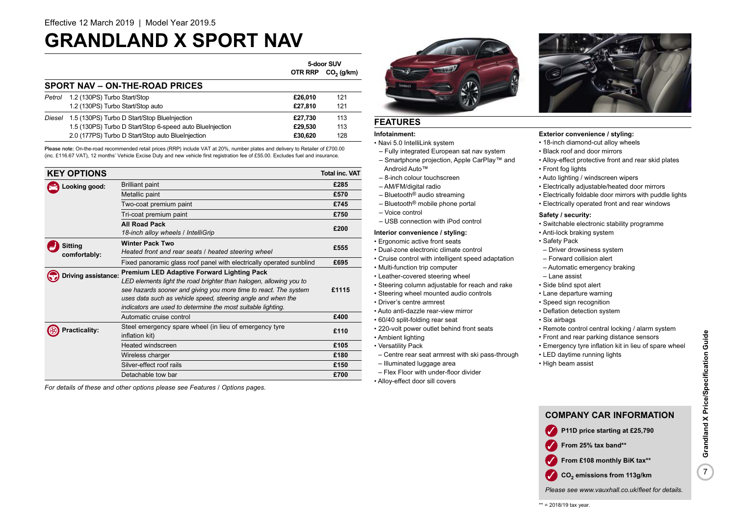### **GRANDLAND X SPORT NAV**

|                                |                                                           | 5-door SUV     |              |
|--------------------------------|-----------------------------------------------------------|----------------|--------------|
|                                |                                                           | <b>OTR RRP</b> | $CO2$ (g/km) |
| SPORT NAV - ON-THE-ROAD PRICES |                                                           |                |              |
| Petrol                         | 1.2 (130PS) Turbo Start/Stop                              | £26.010        | 121          |
|                                | 1.2 (130PS) Turbo Start/Stop auto                         | £27.810        | 121          |
| Diesel                         | 1.5 (130PS) Turbo D Start/Stop BlueInjection              | £27.730        | 113          |
|                                | 1.5 (130PS) Turbo D Start/Stop 6-speed auto BlueInjection | £29.530        | 113          |
|                                | 2.0 (177PS) Turbo D Start/Stop auto BlueInjection         | £30.620        | 128          |

Please note: On-the-road recommended retail prices (RRP) include VAT at 20%, number plates and delivery to Retailer of £700.00 (inc. £116.67 VAT), 12 months' Vehicle Excise Duty and new vehicle first registration fee of £55.00. Excludes fuel and insurance.

|                     | <b>KEY OPTIONS</b>   |                                                                          | <b>Total inc. VAT</b> |
|---------------------|----------------------|--------------------------------------------------------------------------|-----------------------|
| Looking good:       |                      | <b>Brilliant paint</b>                                                   | £285                  |
|                     |                      | Metallic paint                                                           | £570                  |
|                     |                      | Two-coat premium paint                                                   | £745                  |
|                     |                      | Tri-coat premium paint                                                   | £750                  |
|                     |                      | <b>All Road Pack</b>                                                     | £200                  |
|                     |                      | 18-inch alloy wheels / IntelliGrip                                       |                       |
|                     | <b>Sitting</b>       | <b>Winter Pack Two</b>                                                   | £555                  |
|                     | comfortably:         | Heated front and rear seats / heated steering wheel                      |                       |
|                     |                      | Fixed panoramic glass roof panel with electrically operated sunblind     | £695                  |
| Driving assistance: |                      | <b>Premium LED Adaptive Forward Lighting Pack</b>                        |                       |
|                     |                      | LED elements light the road brighter than halogen, allowing you to       |                       |
|                     |                      | see hazards sooner and giving you more time to react. The system         | £1115                 |
|                     |                      | uses data such as vehicle speed, steering angle and when the             |                       |
|                     |                      | indicators are used to determine the most suitable lighting.             |                       |
|                     |                      | Automatic cruise control                                                 | £400                  |
|                     | <b>Practicality:</b> | Steel emergency spare wheel (in lieu of emergency tyre<br>inflation kit) | £110                  |
|                     |                      | Heated windscreen                                                        | £105                  |
|                     |                      | Wireless charger                                                         | £180                  |
|                     |                      | Silver-effect roof rails                                                 | £150                  |
|                     |                      | Detachable tow bar                                                       | £700                  |

*For details of these and other options please see Features / Options pages.*



### **FEATURES**

### **Infotainment:**

- Navi 5.0 IntelliLink system
- Fully integrated European sat nav system – Smartphone projection, Apple CarPlay™ and
- Android Auto™
- 8-inch colour touchscreen
- AM/FM/digital radio
- Bluetooth® audio streaming
- Bluetooth® mobile phone portal
- Voice control
- USB connection with iPod control

### **Interior convenience / styling:**

- Ergonomic active front seats
- Dual-zone electronic climate control
- Cruise control with intelligent speed adaptation
- Multi-function trip computer
- Leather-covered steering wheel
- Steering column adjustable for reach and rake
- Steering wheel mounted audio controls
- Driver's centre armrest
- Auto anti-dazzle rear-view mirror
- 60/40 split-folding rear seat
- 220-volt power outlet behind front seats
- Ambient lighting
- Versatility Pack
	- Centre rear seat armrest with ski pass-through
	- Illuminated luggage area
	- Flex Floor with under-floor divider
	- Alloy-effect door sill covers



### **Exterior convenience / styling:**

- 18-inch diamond-cut alloy wheels
- Black roof and door mirrors
- Alloy-effect protective front and rear skid plates
- Front fog lights
- Auto lighting / windscreen wipers
- Electrically adjustable/heated door mirrors
- Electrically foldable door mirrors with puddle lights
- Electrically operated front and rear windows

### **Safety / security:**

- Switchable electronic stability programme
- Anti-lock braking system
- Safety Pack
- Driver drowsiness system
- Forward collision alert
- Automatic emergency braking
- Lane assist
- Side blind spot alert
- Lane departure warning
- Speed sign recognition
- Deflation detection system
- Six airbags
- Remote control central locking / alarm system
- Front and rear parking distance sensors
- Emergency tyre inflation kit in lieu of spare wheel
- LED daytime running lights
- High beam assist



*Please see www.vauxhall.co.uk/fleet for details.*

7**Grandland X Price/Specification Guide**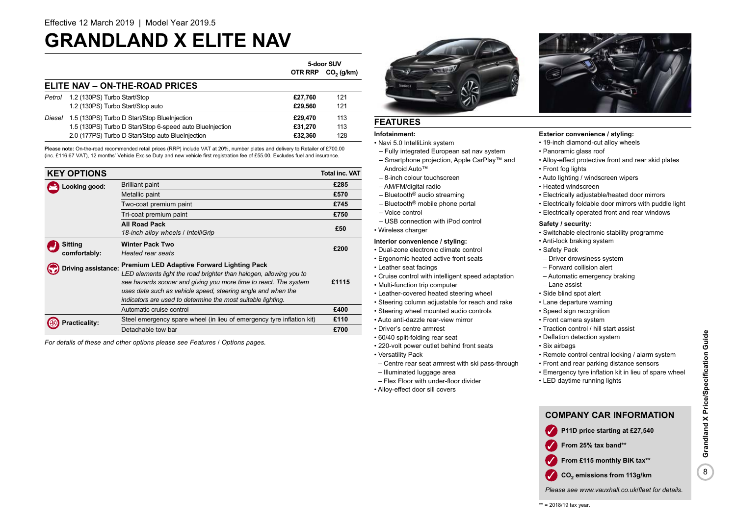### **GRANDLAND X ELITE NAV**

|        |                                                           | 5-door SUV     |              |
|--------|-----------------------------------------------------------|----------------|--------------|
|        |                                                           | <b>OTR RRP</b> | $CO2$ (g/km) |
|        | ELITE NAV - ON-THE-ROAD PRICES                            |                |              |
| Petrol | 1.2 (130PS) Turbo Start/Stop                              | £27.760        | 121          |
|        | 1.2 (130PS) Turbo Start/Stop auto                         | £29.560        | 121          |
| Diesel | 1.5 (130PS) Turbo D Start/Stop BlueInjection              | £29.470        | 113          |
|        | 1.5 (130PS) Turbo D Start/Stop 6-speed auto Bluelnjection | £31.270        | 113          |
|        | 2.0 (177PS) Turbo D Start/Stop auto BlueInjection         | £32.360        | 128          |

Please note: On-the-road recommended retail prices (RRP) include VAT at 20%, number plates and delivery to Retailer of £700.00 (inc. £116.67 VAT), 12 months' Vehicle Excise Duty and new vehicle first registration fee of £55.00. Excludes fuel and insurance.

| <b>KEY OPTIONS</b>  |                                                                       | <b>Total inc. VAT</b> |
|---------------------|-----------------------------------------------------------------------|-----------------------|
| Looking good:       | <b>Brilliant paint</b>                                                | £285                  |
|                     | Metallic paint                                                        | £570                  |
|                     | Two-coat premium paint                                                | £745                  |
|                     | Tri-coat premium paint                                                | £750                  |
|                     | <b>All Road Pack</b>                                                  | £50                   |
|                     | 18-inch alloy wheels / IntelliGrip                                    |                       |
| <b>Sitting</b>      | <b>Winter Pack Two</b>                                                | £200                  |
| comfortably:        | Heated rear seats                                                     |                       |
| Driving assistance: | <b>Premium LED Adaptive Forward Lighting Pack</b>                     |                       |
|                     | LED elements light the road brighter than halogen, allowing you to    |                       |
|                     | see hazards sooner and giving you more time to react. The system      | £1115                 |
|                     | uses data such as vehicle speed, steering angle and when the          |                       |
|                     | indicators are used to determine the most suitable lighting.          |                       |
|                     | Automatic cruise control                                              | £400                  |
| racticality:        | Steel emergency spare wheel (in lieu of emergency tyre inflation kit) | £110                  |
|                     | Detachable tow bar                                                    | £700                  |

*For details of these and other options please see Features / Options pages.*

### **FEATURES**

### **Infotainment:**

- Navi 5.0 IntelliLink system
- Fully integrated European sat nav system – Smartphone projection, Apple CarPlay™ and
- Android Auto™
- 8-inch colour touchscreen
- AM/FM/digital radio
- Bluetooth® audio streaming
- Bluetooth® mobile phone portal
- Voice control
- USB connection with iPod control
- Wireless charger

### **Interior convenience / styling:**

- Dual-zone electronic climate control
- Ergonomic heated active front seats
- Leather seat facings
- Cruise control with intelligent speed adaptation
- Multi-function trip computer
- Leather-covered heated steering wheel
- Steering column adjustable for reach and rake
- Steering wheel mounted audio controls
- Auto anti-dazzle rear-view mirror
- Driver's centre armrest
- 60/40 split-folding rear seat
- 220-volt power outlet behind front seats
- Versatility Pack
- Centre rear seat armrest with ski pass-through
- Illuminated luggage area
- Flex Floor with under-floor divider
- Alloy-effect door sill covers



### **Exterior convenience / styling:**

- 19-inch diamond-cut alloy wheels
- Panoramic glass roof
- Alloy-effect protective front and rear skid plates
- Front fog lights
- Auto lighting / windscreen wipers
- Heated windscreen
- Electrically adjustable/heated door mirrors
- Electrically foldable door mirrors with puddle light
- Electrically operated front and rear windows

### **Safety / security:**

- Switchable electronic stability programme
- Anti-lock braking system
- Safety Pack
	- Driver drowsiness system
	- Forward collision alert
	- Automatic emergency braking
	- Lane assist
	- Side blind spot alert
	- Lane departure warning
	- Speed sign recognition
	- Front camera system
	- Traction control / hill start assist
	- Deflation detection system
	- Six airbags
	- Remote control central locking / alarm system
	- Front and rear parking distance sensors
	- Emergency tyre inflation kit in lieu of spare wheel
	- LED daytime running lights



*Please see www.vauxhall.co.uk/fleet for details.*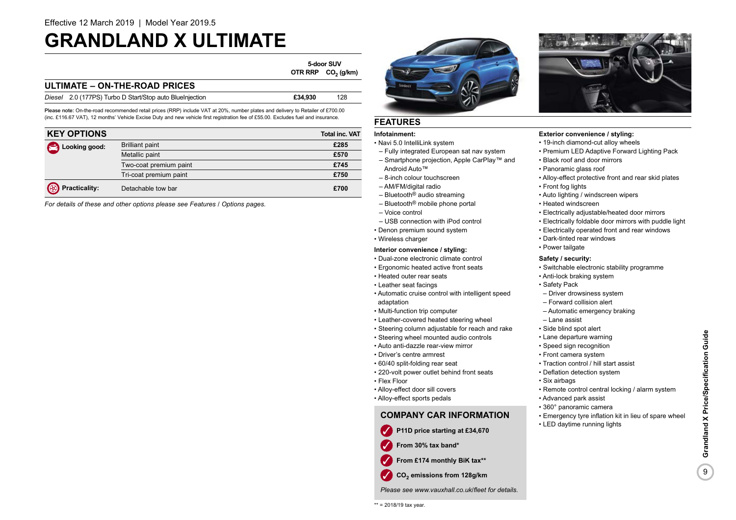### **GRANDLAND X ULTIMATE**

**5-door SUV OTR RRP CO<sub>2</sub>** (g/km)

### **ULTIMATE – ON-THE-ROAD PRICES**

| Diesel 2.0 (177PS) Turbo D Start/Stop auto BlueInjection | £34,930 | 128 |
|----------------------------------------------------------|---------|-----|
|                                                          |         |     |

Please note: On-the-road recommended retail prices (RRP) include VAT at 20%, number plates and delivery to Retailer of £700.00 (inc. £116.67 VAT), 12 months' Vehicle Excise Duty and new vehicle first registration fee of £55.00. Excludes fuel and insurance.

| <b>KEY OPTIONS</b>     |                        | <b>Total inc. VAT</b> |
|------------------------|------------------------|-----------------------|
| Looking good:          | <b>Brilliant paint</b> | £285                  |
|                        | Metallic paint         | £570                  |
|                        | Two-coat premium paint | £745                  |
|                        | Tri-coat premium paint | £750                  |
| <b>B</b> Practicality: | Detachable tow bar     | £700                  |

*For details of these and other options please see Features / Options pages.*

### **FEATURES**

### **Infotainment:**

- Navi 5.0 IntelliLink system
- Fully integrated European sat nav system – Smartphone projection, Apple CarPlay™ and
- Android Auto™ – 8-inch colour touchscreen
- AM/FM/digital radio
- Bluetooth® audio streaming
- Bluetooth® mobile phone portal
- Voice control
- USB connection with iPod control
- Denon premium sound system
- Wireless charger

### **Interior convenience / styling:**

- Dual-zone electronic climate control
- Ergonomic heated active front seats
- Heated outer rear seats
- Leather seat facings
- Automatic cruise control with intelligent speed adaptation
- Multi-function trip computer
- Leather-covered heated steering wheel
- Steering column adjustable for reach and rake
- Steering wheel mounted audio controls
- Auto anti-dazzle rear-view mirror
- Driver's centre armrest
- 60/40 split-folding rear seat
- 220-volt power outlet behind front seats
- Flex Floor
- Alloy-effect door sill covers
- Alloy-effect sports pedals

### **COMPANY CAR INFORMATION**

- ✓ **P11D price starting at £34,670**
- 
- From £174 monthly BiK tax\*\*
- **CO2** ✓ **emissions from 128g/km**

*Please see www.vauxhall.co.uk/fleet for details.*





### **Exterior convenience / styling:**

- 19-inch diamond-cut alloy wheels
- Premium LED Adaptive Forward Lighting Pack
- Black roof and door mirrors
- Panoramic glass roof
- Alloy-effect protective front and rear skid plates
- Front fog lights
- Auto lighting / windscreen wipers
- Heated windscreen
- Electrically adjustable/heated door mirrors
- Electrically foldable door mirrors with puddle light
- Electrically operated front and rear windows
- Dark-tinted rear windows
- Power tailgate

### **Safety / security:**

- Switchable electronic stability programme
- Anti-lock braking system
- Safety Pack
- Driver drowsiness system
- Forward collision alert
- Automatic emergency braking
- Lane assist
- Side blind spot alert
- Lane departure warning
- Speed sign recognition
- Front camera system
- Traction control / hill start assist
- Deflation detection system
- Six airbags
- Remote control central locking / alarm system
- Advanced park assist
- 360° panoramic camera

• LED daytime running lights

- Emergency tyre inflation kit in lieu of spare wheel
- Grandland X Price/Specification Guide 9**Grandland X Price/Specification Guide** 9

✓ **From 30% tax band\***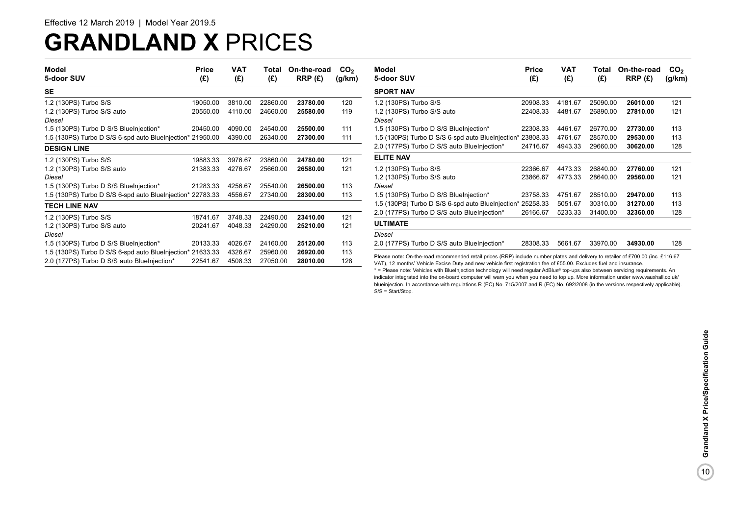## **GRANDLAND X** PRICES

| Model<br>5-door SUV                                        | <b>Price</b><br>(£) | <b>VAT</b><br>(E) | Total<br>(E) | On-the-road<br>RRP(E) | CO <sub>2</sub><br>(g/km) |
|------------------------------------------------------------|---------------------|-------------------|--------------|-----------------------|---------------------------|
| SE                                                         |                     |                   |              |                       |                           |
| 1.2 (130PS) Turbo S/S                                      | 19050.00            | 3810.00           | 22860.00     | 23780.00              | 120                       |
| 1.2 (130PS) Turbo S/S auto                                 | 20550.00            | 4110.00           | 24660.00     | 25580.00              | 119                       |
| Diesel                                                     |                     |                   |              |                       |                           |
| 1.5 (130PS) Turbo D S/S BlueInjection*                     | 20450.00            | 4090.00           | 24540.00     | 25500.00              | 111                       |
| 1.5 (130PS) Turbo D S/S 6-spd auto BlueInjection* 21950.00 |                     | 4390.00           | 26340.00     | 27300.00              | 111                       |
| <b>DESIGN LINE</b>                                         |                     |                   |              |                       |                           |
| 1.2 (130PS) Turbo S/S                                      | 19883.33            | 3976.67           | 23860.00     | 24780.00              | 121                       |
| 1.2 (130PS) Turbo S/S auto                                 | 21383.33            | 4276.67           | 25660.00     | 26580.00              | 121                       |
| Diesel                                                     |                     |                   |              |                       |                           |
| 1.5 (130PS) Turbo D S/S BlueInjection*                     | 21283.33            | 4256.67           | 25540.00     | 26500.00              | 113                       |
| 1.5 (130PS) Turbo D S/S 6-spd auto BlueInjection* 22783.33 |                     | 4556.67           | 27340.00     | 28300.00              | 113                       |
| <b>TECH LINE NAV</b>                                       |                     |                   |              |                       |                           |
| 1.2 (130PS) Turbo S/S                                      | 18741.67            | 3748.33           | 22490.00     | 23410.00              | 121                       |
| 1.2 (130PS) Turbo S/S auto                                 | 20241.67            | 4048.33           | 24290.00     | 25210.00              | 121                       |
| Diesel                                                     |                     |                   |              |                       |                           |
| 1.5 (130PS) Turbo D S/S BlueInjection*                     | 20133.33            | 4026.67           | 24160.00     | 25120.00              | 113                       |
| 1.5 (130PS) Turbo D S/S 6-spd auto BlueInjection* 21633.33 |                     | 4326.67           | 25960.00     | 26920.00              | 113                       |
| 2.0 (177PS) Turbo D S/S auto BlueInjection*                | 22541.67            | 4508.33           | 27050.00     | 28010.00              | 128                       |

| Model<br>5-door SUV                                                                                                                                                                                                                                     | Price<br>(E) | VAT<br>(E) | Total<br>(E) | On-the-road<br>RRP(E) | CO <sub>2</sub><br>(g/km) |
|---------------------------------------------------------------------------------------------------------------------------------------------------------------------------------------------------------------------------------------------------------|--------------|------------|--------------|-----------------------|---------------------------|
| <b>SPORT NAV</b>                                                                                                                                                                                                                                        |              |            |              |                       |                           |
| 1.2 (130PS) Turbo S/S                                                                                                                                                                                                                                   | 20908.33     | 4181.67    | 25090.00     | 26010.00              | 121                       |
| 1.2 (130PS) Turbo S/S auto                                                                                                                                                                                                                              | 22408.33     | 4481.67    | 26890.00     | 27810.00              | 121                       |
| Diesel                                                                                                                                                                                                                                                  |              |            |              |                       |                           |
| 1.5 (130PS) Turbo D S/S BlueInjection*                                                                                                                                                                                                                  | 22308.33     | 4461.67    | 26770.00     | 27730.00              | 113                       |
| 1.5 (130PS) Turbo D S/S 6-spd auto BlueInjection* 23808.33                                                                                                                                                                                              |              | 4761.67    | 28570.00     | 29530.00              | 113                       |
| 2.0 (177PS) Turbo D S/S auto BlueInjection*                                                                                                                                                                                                             | 24716.67     | 4943.33    | 29660.00     | 30620.00              | 128                       |
| <b>ELITE NAV</b>                                                                                                                                                                                                                                        |              |            |              |                       |                           |
| 1.2 (130PS) Turbo S/S                                                                                                                                                                                                                                   | 22366.67     | 4473.33    | 26840.00     | 27760.00              | 121                       |
| 1.2 (130PS) Turbo S/S auto                                                                                                                                                                                                                              | 23866.67     | 4773.33    | 28640.00     | 29560.00              | 121                       |
| Diesel                                                                                                                                                                                                                                                  |              |            |              |                       |                           |
| 1.5 (130PS) Turbo D S/S BlueInjection*                                                                                                                                                                                                                  | 23758.33     | 4751.67    | 28510.00     | 29470.00              | 113                       |
| 1.5 (130PS) Turbo D S/S 6-spd auto BlueInjection* 25258.33                                                                                                                                                                                              |              | 5051.67    | 30310.00     | 31270.00              | 113                       |
| 2.0 (177PS) Turbo D S/S auto BlueInjection*                                                                                                                                                                                                             | 26166.67     | 5233.33    | 31400.00     | 32360.00              | 128                       |
| <b>ULTIMATE</b>                                                                                                                                                                                                                                         |              |            |              |                       |                           |
| Diesel                                                                                                                                                                                                                                                  |              |            |              |                       |                           |
| 2.0 (177PS) Turbo D S/S auto BlueInjection*                                                                                                                                                                                                             | 28308.33     | 5661.67    | 33970.00     | 34930.00              | 128                       |
| Please note: On-the-road recommended retail prices (RRP) include number plates and delivery to retailer of £700.00 (inc. £116.67<br>VAT). 12 months' Vehicle Excise Duty and new vehicle first registration fee of £55.00. Excludes fuel and insurance. |              |            |              |                       |                           |

\* = Please note: Vehicles with BlueInjection technology will need regular AdBlue® top-ups also between servicing requirements. An indicator integrated into the on-board computer will warn you when you need to top up. More information under www.vauxhall.co.uk/ blueinjection. In accordance with regulations R (EC) No. 715/2007 and R (EC) No. 692/2008 (in the versions respectively applicable). S/S = Start/Stop.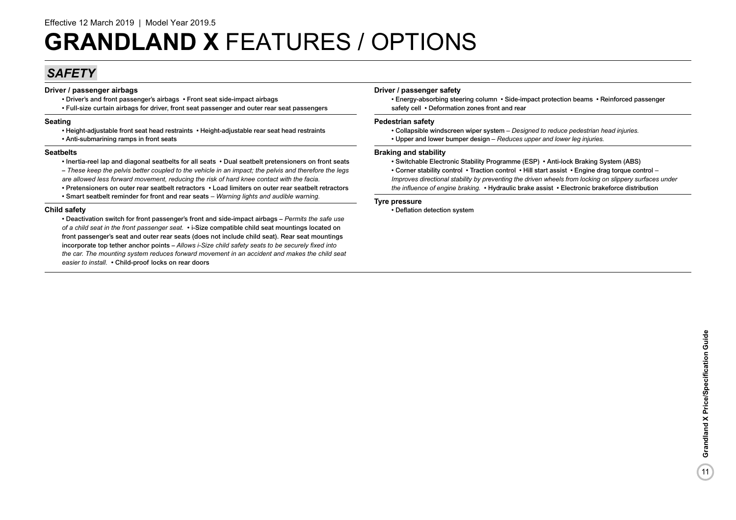### *SAFETY*

### **Driver / passenger airbags**

- Driver's and front passenger's airbags Front seat side-impact airbags
- Full-size curtain airbags for driver, front seat passenger and outer rear seat passengers

### **Seating**

- Height-adjustable front seat head restraints Height-adjustable rear seat head restraints
- Anti-submarining ramps in front seats

### **Seatbelts**

- Inertia-reel lap and diagonal seatbelts for all seats Dual seatbelt pretensioners on front seats
- *These keep the pelvis better coupled to the vehicle in an impact; the pelvis and therefore the legs are allowed less forward movement, reducing the risk of hard knee contact with the facia.*
- Pretensioners on outer rear seatbelt retractors Load limiters on outer rear seatbelt retractors • Smart seatbelt reminder for front and rear seats *– Warning lights and audible warning.*

### **Child safety**

• Deactivation switch for front passenger's front and side-impact airbags – *Permits the safe use of a child seat in the front passenger seat.* • i-Size compatible child seat mountings located on front passenger's seat and outer rear seats (does not include child seat). Rear seat mountings incorporate top tether anchor points – *Allows i-Size child safety seats to be securely fixed into the car. The mounting system reduces forward movement in an accident and makes the child seat easier to install.* • Child-proof locks on rear doors

### **Driver / passenger safety**

• Energy-absorbing steering column • Side-impact protection beams • Reinforced passenger safety cell • Deformation zones front and rear

### **Pedestrian safety**

- Collapsible windscreen wiper system – *Designed to reduce pedestrian head injuries.*
- Upper and lower bumper design – *Reduces upper and lower leg injuries.*

### **Braking and stability**

- Switchable Electronic Stability Programme (ESP) Anti-lock Braking System (ABS)
- Corner stability control Traction control Hill start assist Engine drag torque control  *Improves directional stability by preventing the driven wheels from locking on slippery surfaces under*
- *the influence of engine braking.* Hydraulic brake assist Electronic brakeforce distribution

### **Tyre pressure**

• Deflation detection system

 $(11)$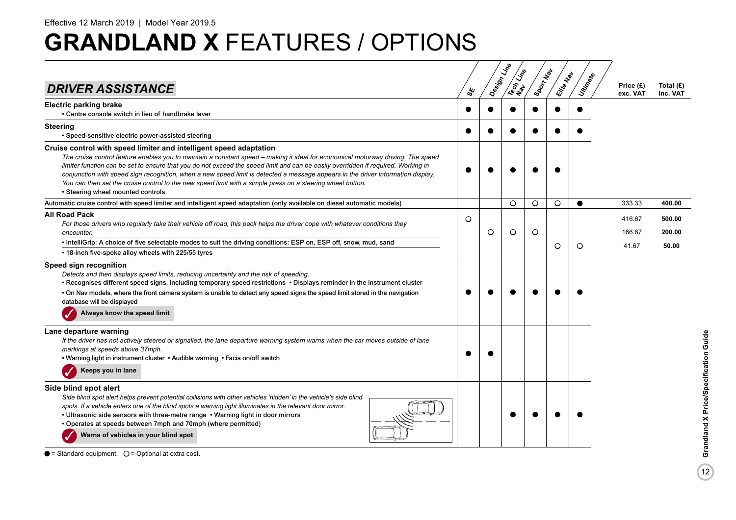| <b>DRIVER ASSISTANCE</b>                                                                                                                                                                                                                                                                                                                                                                                                                                                                                                                                                                                                           |           | ధ్య |   | Design Line<br>Tech Line | IStory Maple | Elite Map | Unitary | Price (£)        | Total (£)        |
|------------------------------------------------------------------------------------------------------------------------------------------------------------------------------------------------------------------------------------------------------------------------------------------------------------------------------------------------------------------------------------------------------------------------------------------------------------------------------------------------------------------------------------------------------------------------------------------------------------------------------------|-----------|-----|---|--------------------------|--------------|-----------|---------|------------------|------------------|
| <b>Electric parking brake</b><br>• Centre console switch in lieu of handbrake lever                                                                                                                                                                                                                                                                                                                                                                                                                                                                                                                                                | ●         |     |   |                          |              |           |         | exc. VAT         | inc. VAT         |
| <b>Steering</b><br>• Speed-sensitive electric power-assisted steering                                                                                                                                                                                                                                                                                                                                                                                                                                                                                                                                                              | $\bullet$ |     |   |                          |              |           |         |                  |                  |
| Cruise control with speed limiter and intelligent speed adaptation<br>The cruise control feature enables you to maintain a constant speed - making it ideal for economical motorway driving. The speed<br>limiter function can be set to ensure that you do not exceed the speed limit and can be easily overridden if required. Working in<br>conjunction with speed sign recognition, when a new speed limit is detected a message appears in the driver information display.<br>You can then set the cruise control to the new speed limit with a simple press on a steering wheel button.<br>• Steering wheel mounted controls |           |     |   |                          |              |           |         |                  |                  |
| Automatic cruise control with speed limiter and intelligent speed adaptation (only available on diesel automatic models)                                                                                                                                                                                                                                                                                                                                                                                                                                                                                                           |           |     |   | $\circ$                  | O            | O         | ●       | 333.33           | 400.00           |
| <b>All Road Pack</b><br>For those drivers who regularly take their vehicle off road, this pack helps the driver cope with whatever conditions they<br>encounter.                                                                                                                                                                                                                                                                                                                                                                                                                                                                   | $\circ$   |     | O | $\circ$                  | $\circ$      |           |         | 416.67<br>166.67 | 500.00<br>200.00 |
| • IntelliGrip: A choice of five selectable modes to suit the driving conditions: ESP on, ESP off, snow, mud, sand<br>• 18-inch five-spoke alloy wheels with 225/55 tyres                                                                                                                                                                                                                                                                                                                                                                                                                                                           |           |     |   |                          |              | O         | $\circ$ | 41.67            | 50.00            |
| Speed sign recognition<br>Detects and then displays speed limits, reducing uncertainty and the risk of speeding.<br>• Recognises different speed signs, including temporary speed restrictions • Displays reminder in the instrument cluster<br>. On Nav models, where the front camera system is unable to detect any speed signs the speed limit stored in the navigation<br>database will be displayed<br>Always know the speed limit                                                                                                                                                                                           |           |     |   |                          |              |           |         |                  |                  |
| Lane departure warning<br>If the driver has not actively steered or signalled, the lane departure warning system warns when the car moves outside of lane<br>markings at speeds above 37mph.<br>• Warning light in instrument cluster • Audible warning • Facia on/off switch<br>Keeps you in lane                                                                                                                                                                                                                                                                                                                                 |           |     |   |                          |              |           |         |                  |                  |
| Side blind spot alert<br>Side blind spot alert helps prevent potential collisions with other vehicles 'hidden' in the vehicle's side blind<br>spots. If a vehicle enters one of the blind spots a warning light illuminates in the relevant door mirror.<br>• Ultrasonic side sensors with three-metre range • Warning light in door mirrors<br>• Operates at speeds between 7mph and 70mph (where permitted)<br>Warns of vehicles in your blind spot                                                                                                                                                                              |           |     |   |                          |              |           |         |                  |                  |

 $\bullet$  = Standard equipment.  $\circ$  = Optional at extra cost.

 $\boxed{12}$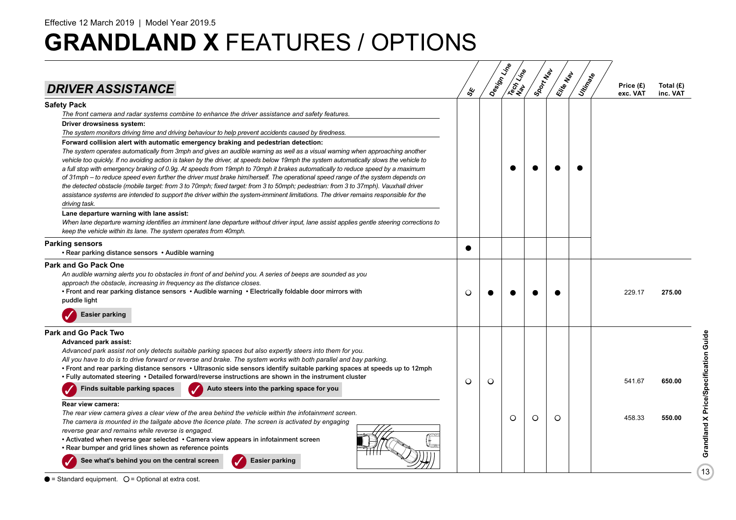| <b>DRIVER ASSISTANCE</b>                                                                                                                                                                                                                                                                                                                                                                                                                                                                                                                                                                                                                                                                                                                                                                                                                                                                                                           | ళ్ల     | Design Little | Tech Line | Sport Map | Elite Map | Unitary | Price (£)<br>exc. VAT | Total $(E)$<br>inc. VAT |
|------------------------------------------------------------------------------------------------------------------------------------------------------------------------------------------------------------------------------------------------------------------------------------------------------------------------------------------------------------------------------------------------------------------------------------------------------------------------------------------------------------------------------------------------------------------------------------------------------------------------------------------------------------------------------------------------------------------------------------------------------------------------------------------------------------------------------------------------------------------------------------------------------------------------------------|---------|---------------|-----------|-----------|-----------|---------|-----------------------|-------------------------|
| <b>Safety Pack</b><br>The front camera and radar systems combine to enhance the driver assistance and safety features.<br>Driver drowsiness system:<br>The system monitors driving time and driving behaviour to help prevent accidents caused by tiredness.                                                                                                                                                                                                                                                                                                                                                                                                                                                                                                                                                                                                                                                                       |         |               |           |           |           |         |                       |                         |
| Forward collision alert with automatic emergency braking and pedestrian detection:<br>The system operates automatically from 3mph and gives an audible warning as well as a visual warning when approaching another<br>vehicle too quickly. If no avoiding action is taken by the driver, at speeds below 19mph the system automatically slows the vehicle to<br>a full stop with emergency braking of 0.9g. At speeds from 19mph to 70mph it brakes automatically to reduce speed by a maximum<br>of 31mph – to reduce speed even further the driver must brake him/herself. The operational speed range of the system depends on<br>the detected obstacle (mobile target: from 3 to 70mph; fixed target: from 3 to 50mph; pedestrian: from 3 to 37mph). Vauxhall driver<br>assistance systems are intended to support the driver within the system-imminent limitations. The driver remains responsible for the<br>driving task. |         |               |           |           |           |         |                       |                         |
| Lane departure warning with lane assist:<br>When lane departure warning identifies an imminent lane departure without driver input, lane assist applies gentle steering corrections to<br>keep the vehicle within its lane. The system operates from 40mph.                                                                                                                                                                                                                                                                                                                                                                                                                                                                                                                                                                                                                                                                        |         |               |           |           |           |         |                       |                         |
| <b>Parking sensors</b><br>• Rear parking distance sensors • Audible warning                                                                                                                                                                                                                                                                                                                                                                                                                                                                                                                                                                                                                                                                                                                                                                                                                                                        |         |               |           |           |           |         |                       |                         |
| <b>Park and Go Pack One</b><br>An audible warning alerts you to obstacles in front of and behind you. A series of beeps are sounded as you<br>approach the obstacle, increasing in frequency as the distance closes.<br>• Front and rear parking distance sensors • Audible warning • Electrically foldable door mirrors with<br>puddle light                                                                                                                                                                                                                                                                                                                                                                                                                                                                                                                                                                                      | O       |               |           |           |           |         | 229.17                | 275.00                  |
| <b>Easier parking</b>                                                                                                                                                                                                                                                                                                                                                                                                                                                                                                                                                                                                                                                                                                                                                                                                                                                                                                              |         |               |           |           |           |         |                       |                         |
| <b>Park and Go Pack Two</b><br>Advanced park assist:<br>Advanced park assist not only detects suitable parking spaces but also expertly steers into them for you.<br>All you have to do is to drive forward or reverse and brake. The system works with both parallel and bay parking.<br>• Front and rear parking distance sensors • Ultrasonic side sensors identify suitable parking spaces at speeds up to 12mph<br>. Fully automated steering . Detailed forward/reverse instructions are shown in the instrument cluster                                                                                                                                                                                                                                                                                                                                                                                                     | $\circ$ | O             |           |           |           |         | 541.67                | 650.00                  |
| Finds suitable parking spaces<br>Auto steers into the parking space for you                                                                                                                                                                                                                                                                                                                                                                                                                                                                                                                                                                                                                                                                                                                                                                                                                                                        |         |               |           |           |           |         |                       |                         |
| Rear view camera:<br>The rear view camera gives a clear view of the area behind the vehicle within the infotainment screen.<br>The camera is mounted in the tailgate above the licence plate. The screen is activated by engaging<br>reverse gear and remains while reverse is engaged.<br>• Activated when reverse gear selected • Camera view appears in infotainment screen<br>• Rear bumper and grid lines shown as reference points<br>See what's behind you on the central screen                                                                                                                                                                                                                                                                                                                                                                                                                                            |         |               | O         | O         | $\circ$   |         | 458.33                | 550.00                  |
| <b>Easier parking</b>                                                                                                                                                                                                                                                                                                                                                                                                                                                                                                                                                                                                                                                                                                                                                                                                                                                                                                              |         |               |           |           |           |         |                       |                         |

 $\bullet$  = Standard equipment.  $\circ$  = Optional at extra cost.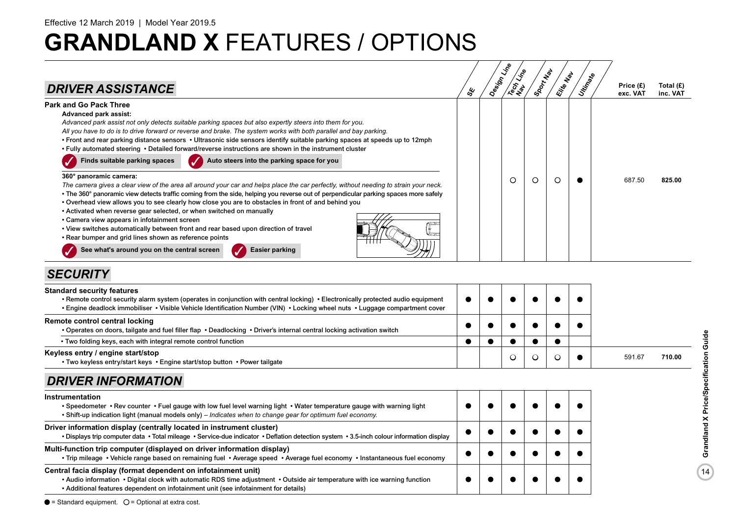

### *SECURITY*

| <b>Standard security features</b><br>• Remote control security alarm system (operates in conjunction with central locking) • Electronically protected audio equipment<br>. Engine deadlock immobiliser • Visible Vehicle Identification Number (VIN) • Locking wheel nuts • Luggage compartment cover |  |  |  |        |        |
|-------------------------------------------------------------------------------------------------------------------------------------------------------------------------------------------------------------------------------------------------------------------------------------------------------|--|--|--|--------|--------|
| Remote control central locking<br>• Operates on doors, tailgate and fuel filler flap • Deadlocking • Driver's internal central locking activation switch                                                                                                                                              |  |  |  |        |        |
| • Two folding keys, each with integral remote control function                                                                                                                                                                                                                                        |  |  |  |        |        |
| Keyless entry / engine start/stop<br>• Two keyless entry/start keys • Engine start/stop button • Power tailgate                                                                                                                                                                                       |  |  |  | 591.67 | 710.00 |

### *DRIVER INFORMATION*

| Instrumentation<br>. Speedometer . Rev counter . Fuel gauge with low fuel level warning light . Water temperature gauge with warning light<br>. Shift-up indication light (manual models only) – Indicates when to change gear for optimum fuel economy.                           |  |  |  |
|------------------------------------------------------------------------------------------------------------------------------------------------------------------------------------------------------------------------------------------------------------------------------------|--|--|--|
| Driver information display (centrally located in instrument cluster)<br>• Displays trip computer data • Total mileage • Service-due indicator • Deflation detection system • 3.5-inch colour information display                                                                   |  |  |  |
| Multi-function trip computer (displayed on driver information display)<br>• Trip mileage • Vehicle range based on remaining fuel • Average speed • Average fuel economy • Instantaneous fuel economy                                                                               |  |  |  |
| Central facia display (format dependent on infotainment unit)<br>. Audio information • Digital clock with automatic RDS time adjustment • Outside air temperature with ice warning function<br>• Additional features dependent on infotainment unit (see infotainment for details) |  |  |  |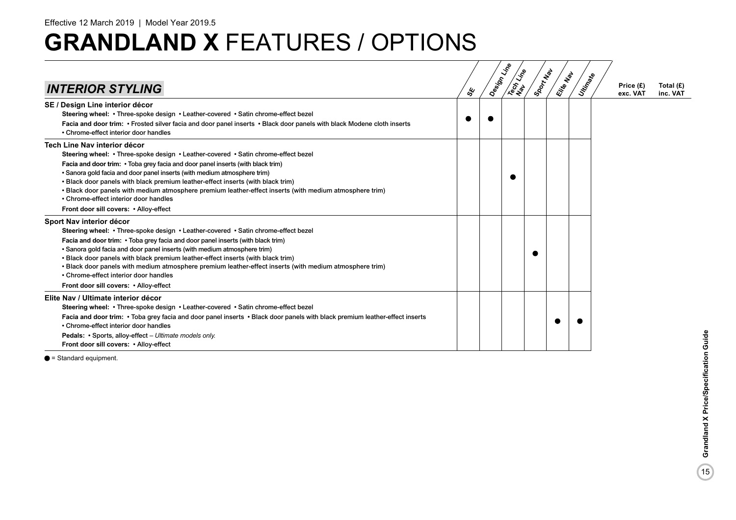|                                                                                                                                                                                                                                                                                                                                                                                                                                                                                                                                                                    |     | Design Line | Tech Line | Sport New | Elite Nat | Unitingste | Price (£) | Total $(E)$ |
|--------------------------------------------------------------------------------------------------------------------------------------------------------------------------------------------------------------------------------------------------------------------------------------------------------------------------------------------------------------------------------------------------------------------------------------------------------------------------------------------------------------------------------------------------------------------|-----|-------------|-----------|-----------|-----------|------------|-----------|-------------|
| <b>INTERIOR STYLING</b>                                                                                                                                                                                                                                                                                                                                                                                                                                                                                                                                            | ధ్య |             |           |           |           |            | exc. VAT  | inc. VAT    |
| SE / Design Line interior décor<br>Steering wheel: • Three-spoke design • Leather-covered • Satin chrome-effect bezel<br>Facia and door trim: • Frosted silver facia and door panel inserts • Black door panels with black Modene cloth inserts                                                                                                                                                                                                                                                                                                                    |     |             |           |           |           |            |           |             |
| • Chrome-effect interior door handles                                                                                                                                                                                                                                                                                                                                                                                                                                                                                                                              |     |             |           |           |           |            |           |             |
| Tech Line Nav interior décor<br>Steering wheel: • Three-spoke design • Leather-covered • Satin chrome-effect bezel<br>Facia and door trim: • Toba grey facia and door panel inserts (with black trim)<br>• Sanora gold facia and door panel inserts (with medium atmosphere trim)<br>. Black door panels with black premium leather-effect inserts (with black trim)<br>· Black door panels with medium atmosphere premium leather-effect inserts (with medium atmosphere trim)<br>• Chrome-effect interior door handles<br>Front door sill covers: • Alloy-effect |     |             |           |           |           |            |           |             |
| Sport Nav interior décor<br>Steering wheel: • Three-spoke design • Leather-covered • Satin chrome-effect bezel<br>Facia and door trim: • Toba grey facia and door panel inserts (with black trim)<br>• Sanora gold facia and door panel inserts (with medium atmosphere trim)<br>. Black door panels with black premium leather-effect inserts (with black trim)<br>. Black door panels with medium atmosphere premium leather-effect inserts (with medium atmosphere trim)<br>• Chrome-effect interior door handles<br>Front door sill covers: • Alloy-effect     |     |             |           |           |           |            |           |             |
| Elite Nav / Ultimate interior décor<br>Steering wheel: • Three-spoke design • Leather-covered • Satin chrome-effect bezel<br>Facia and door trim: • Toba grey facia and door panel inserts • Black door panels with black premium leather-effect inserts<br>• Chrome-effect interior door handles<br>Pedals: • Sports, alloy-effect - Ultimate models only.<br>Front door sill covers: • Alloy-effect                                                                                                                                                              |     |             |           |           |           |            |           |             |

 $\bullet$  = Standard equipment.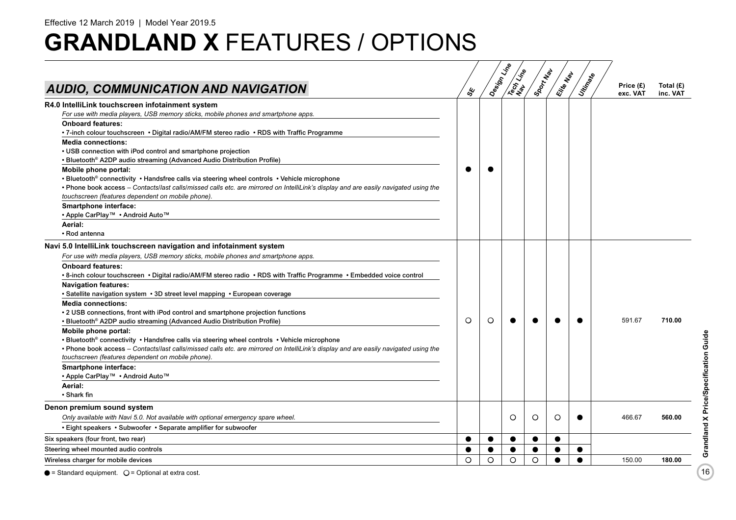| AUDIO, COMMUNICATION AND NAVIGATION                                                                                                                                                                                                                                                                                                                                                                                                                                                                                                                                                                                                                                                                                                                                                                                                                                                                                                                                                                                                | ధ్య       | Design Line | Tech Line | Sport Map | Elite Map | Utin Rate | Price (£)<br>exc. VAT | Total $(E)$<br>inc. VAT |
|------------------------------------------------------------------------------------------------------------------------------------------------------------------------------------------------------------------------------------------------------------------------------------------------------------------------------------------------------------------------------------------------------------------------------------------------------------------------------------------------------------------------------------------------------------------------------------------------------------------------------------------------------------------------------------------------------------------------------------------------------------------------------------------------------------------------------------------------------------------------------------------------------------------------------------------------------------------------------------------------------------------------------------|-----------|-------------|-----------|-----------|-----------|-----------|-----------------------|-------------------------|
| R4.0 IntelliLink touchscreen infotainment system<br>For use with media players, USB memory sticks, mobile phones and smartphone apps.<br><b>Onboard features:</b><br>• 7-inch colour touchscreen • Digital radio/AM/FM stereo radio • RDS with Traffic Programme<br><b>Media connections:</b><br>• USB connection with iPod control and smartphone projection<br>• Bluetooth® A2DP audio streaming (Advanced Audio Distribution Profile)<br>Mobile phone portal:<br>• Bluetooth <sup>®</sup> connectivity • Handsfree calls via steering wheel controls • Vehicle microphone<br>• Phone book access – Contacts/last calls/missed calls etc. are mirrored on IntelliLink's display and are easily navigated using the<br>touchscreen (features dependent on mobile phone).<br>Smartphone interface:<br>• Apple CarPlay™ • Android Auto™<br>Aerial:<br>• Rod antenna                                                                                                                                                                 | $\bullet$ |             |           |           |           |           |                       |                         |
| Navi 5.0 IntelliLink touchscreen navigation and infotainment system<br>For use with media players, USB memory sticks, mobile phones and smartphone apps.<br><b>Onboard features:</b><br>• 8-inch colour touchscreen • Digital radio/AM/FM stereo radio • RDS with Traffic Programme • Embedded voice control<br><b>Navigation features:</b><br>• Satellite navigation system • 3D street level mapping • European coverage<br><b>Media connections:</b><br>• 2 USB connections, front with iPod control and smartphone projection functions<br>• Bluetooth® A2DP audio streaming (Advanced Audio Distribution Profile)<br>Mobile phone portal:<br>• Bluetooth® connectivity • Handsfree calls via steering wheel controls • Vehicle microphone<br>• Phone book access – Contacts/last calls/missed calls etc. are mirrored on IntelliLink's display and are easily navigated using the<br>touchscreen (features dependent on mobile phone).<br>Smartphone interface:<br>• Apple CarPlay™ • Android Auto™<br>Aerial:<br>• Shark fin | $\circ$   | $\circ$     |           |           |           |           | 591.67                | 710.00                  |
| Denon premium sound system<br>Only available with Navi 5.0. Not available with optional emergency spare wheel.<br>• Eight speakers • Subwoofer • Separate amplifier for subwoofer                                                                                                                                                                                                                                                                                                                                                                                                                                                                                                                                                                                                                                                                                                                                                                                                                                                  |           |             | O         | O         | $\circ$   |           | 466.67                | 560.00                  |
| Six speakers (four front, two rear)                                                                                                                                                                                                                                                                                                                                                                                                                                                                                                                                                                                                                                                                                                                                                                                                                                                                                                                                                                                                |           |             |           |           |           |           |                       |                         |
| Steering wheel mounted audio controls                                                                                                                                                                                                                                                                                                                                                                                                                                                                                                                                                                                                                                                                                                                                                                                                                                                                                                                                                                                              |           |             |           |           |           |           |                       |                         |
| Wireless charger for mobile devices                                                                                                                                                                                                                                                                                                                                                                                                                                                                                                                                                                                                                                                                                                                                                                                                                                                                                                                                                                                                | O         | O           | $\circ$   | O         |           |           | 150.00                | 180.00                  |
|                                                                                                                                                                                                                                                                                                                                                                                                                                                                                                                                                                                                                                                                                                                                                                                                                                                                                                                                                                                                                                    |           |             |           |           |           |           |                       |                         |

 $\bullet$  = Standard equipment.  $\circ$  = Optional at extra cost.

16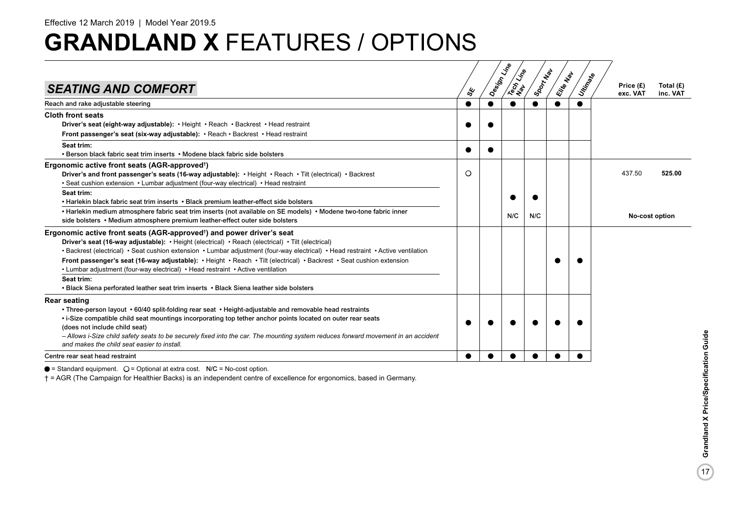| <b>SEATING AND COMFORT</b>                                                                                                                                                                                                                                                                                                                                                                                                                                                                                                                                                                                                          |         | ధ్య | Design Line | Tech Life | Sport New | Eitle Map | Utin <sub>Ratio</sub> | Price (£)<br>exc. VAT | Total $(E)$<br>inc. VAT |
|-------------------------------------------------------------------------------------------------------------------------------------------------------------------------------------------------------------------------------------------------------------------------------------------------------------------------------------------------------------------------------------------------------------------------------------------------------------------------------------------------------------------------------------------------------------------------------------------------------------------------------------|---------|-----|-------------|-----------|-----------|-----------|-----------------------|-----------------------|-------------------------|
| Reach and rake adjustable steering                                                                                                                                                                                                                                                                                                                                                                                                                                                                                                                                                                                                  | ●       |     |             | $\bullet$ |           |           |                       |                       |                         |
| <b>Cloth front seats</b><br>Driver's seat (eight-way adjustable): • Height • Reach • Backrest • Head restraint<br>Front passenger's seat (six-way adjustable): • Reach • Backrest • Head restraint                                                                                                                                                                                                                                                                                                                                                                                                                                  |         |     |             |           |           |           |                       |                       |                         |
| Seat trim:<br>• Berson black fabric seat trim inserts • Modene black fabric side bolsters                                                                                                                                                                                                                                                                                                                                                                                                                                                                                                                                           |         |     |             |           |           |           |                       |                       |                         |
| Ergonomic active front seats (AGR-approved <sup>†</sup> )<br>Driver's and front passenger's seats (16-way adjustable): • Height • Reach • Tilt (electrical) • Backrest<br>• Seat cushion extension • Lumbar adjustment (four-way electrical) • Head restraint                                                                                                                                                                                                                                                                                                                                                                       | $\circ$ |     |             |           |           |           |                       | 437.50                | 525.00                  |
| Seat trim:<br>• Harlekin black fabric seat trim inserts • Black premium leather-effect side bolsters<br>• Harlekin medium atmosphere fabric seat trim inserts (not available on SE models) • Modene two-tone fabric inner                                                                                                                                                                                                                                                                                                                                                                                                           |         |     |             | N/C       | N/C       |           |                       | No-cost option        |                         |
| side bolsters • Medium atmosphere premium leather-effect outer side bolsters<br>Ergonomic active front seats (AGR-approved <sup>+</sup> ) and power driver's seat<br>Driver's seat (16-way adjustable): • Height (electrical) • Reach (electrical) • Tilt (electrical)<br>• Backrest (electrical) • Seat cushion extension • Lumbar adjustment (four-way electrical) • Head restraint • Active ventilation<br>Front passenger's seat (16-way adjustable): • Height • Reach • Tilt (electrical) • Backrest • Seat cushion extension<br>• Lumbar adjustment (four-way electrical) • Head restraint • Active ventilation<br>Seat trim: |         |     |             |           |           |           |                       |                       |                         |
| • Black Siena perforated leather seat trim inserts • Black Siena leather side bolsters                                                                                                                                                                                                                                                                                                                                                                                                                                                                                                                                              |         |     |             |           |           |           |                       |                       |                         |
| <b>Rear seating</b><br>• Three-person layout • 60/40 split-folding rear seat • Height-adjustable and removable head restraints<br>. i-Size compatible child seat mountings incorporating top tether anchor points located on outer rear seats<br>(does not include child seat)<br>- Allows i-Size child safety seats to be securely fixed into the car. The mounting system reduces forward movement in an accident<br>and makes the child seat easier to install.                                                                                                                                                                  |         |     |             |           |           |           |                       |                       |                         |
| Centre rear seat head restraint                                                                                                                                                                                                                                                                                                                                                                                                                                                                                                                                                                                                     |         |     |             |           |           |           |                       |                       |                         |

 $\bullet$  = Standard equipment.  $O =$  Optional at extra cost. N/C = No-cost option.

† = AGR (The Campaign for Healthier Backs) is an independent centre of excellence for ergonomics, based in Germany.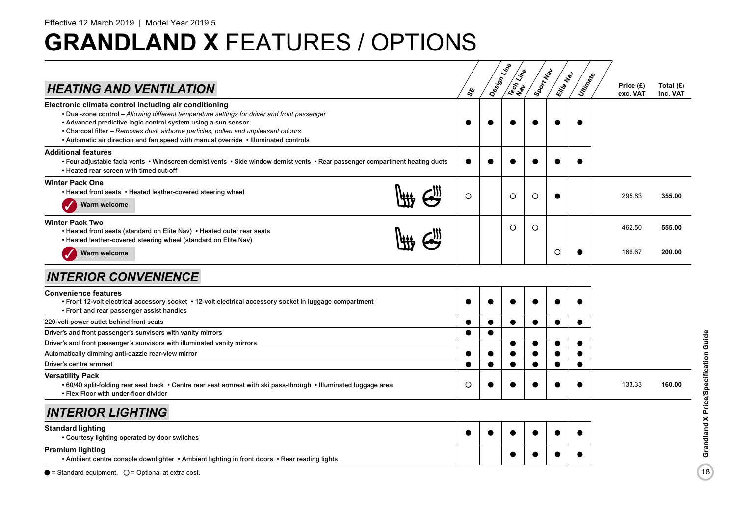| <b>HEATING AND VENTILATION</b>                                                                                                                                                                                                                                                                                                                                                                      | ధ్య       | Design Line | <b>IRECTLY LITE</b> | ISOON NOW | Elite Map | Unitingste | Price (£)<br>exc. VAT | Total $(E)$<br>inc. VAT |
|-----------------------------------------------------------------------------------------------------------------------------------------------------------------------------------------------------------------------------------------------------------------------------------------------------------------------------------------------------------------------------------------------------|-----------|-------------|---------------------|-----------|-----------|------------|-----------------------|-------------------------|
| Electronic climate control including air conditioning<br>• Dual-zone control - Allowing different temperature settings for driver and front passenger<br>• Advanced predictive logic control system using a sun sensor<br>• Charcoal filter - Removes dust, airborne particles, pollen and unpleasant odours<br>• Automatic air direction and fan speed with manual override • Illuminated controls |           |             |                     |           |           |            |                       |                         |
| <b>Additional features</b><br>• Four adjustable facia vents • Windscreen demist vents • Side window demist vents • Rear passenger compartment heating ducts<br>. Heated rear screen with timed cut-off                                                                                                                                                                                              |           |             |                     |           |           |            |                       |                         |
| <b>Winter Pack One</b><br>• Heated front seats • Heated leather-covered steering wheel<br>Warm welcome                                                                                                                                                                                                                                                                                              | $\circ$   |             | $\circ$             | O         |           |            | 295.83                | 355.00                  |
| <b>Winter Pack Two</b><br>• Heated front seats (standard on Elite Nav) • Heated outer rear seats<br>• Heated leather-covered steering wheel (standard on Elite Nav)<br>Warm welcome                                                                                                                                                                                                                 |           |             | $\circ$             | O         | $\circ$   |            | 462.50<br>166.67      | 555.00<br>200.00        |
| <b>INTERIOR CONVENIENCE</b>                                                                                                                                                                                                                                                                                                                                                                         |           |             |                     |           |           |            |                       |                         |
| <b>Convenience features</b><br>. Front 12-volt electrical accessory socket . 12-volt electrical accessory socket in luggage compartment<br>• Front and rear passenger assist handles                                                                                                                                                                                                                |           |             |                     |           |           |            |                       |                         |
| 220-volt power outlet behind front seats                                                                                                                                                                                                                                                                                                                                                            | $\bullet$ | ●           | $\bullet$           | $\bullet$ | ●         | ●          |                       |                         |
| Driver's and front passenger's sunvisors with vanity mirrors                                                                                                                                                                                                                                                                                                                                        |           |             |                     |           |           |            |                       |                         |
| Driver's and front passenger's sunvisors with illuminated vanity mirrors                                                                                                                                                                                                                                                                                                                            |           |             | $\bullet$           |           |           |            |                       |                         |
| Automatically dimming anti-dazzle rear-view mirror                                                                                                                                                                                                                                                                                                                                                  | $\bullet$ |             | $\bullet$           |           |           | ●          |                       |                         |
| Driver's centre armrest                                                                                                                                                                                                                                                                                                                                                                             | $\bullet$ | ●           | $\bullet$           | $\bullet$ | $\bullet$ | $\bullet$  |                       |                         |
| <b>Versatility Pack</b><br>• 60/40 split-folding rear seat back • Centre rear seat armrest with ski pass-through • Illuminated luggage area<br>• Flex Floor with under-floor divider                                                                                                                                                                                                                | O         |             |                     |           |           |            | 133.33                | 160.00                  |
| <b>INTERIOR LIGHTING</b>                                                                                                                                                                                                                                                                                                                                                                            |           |             |                     |           |           |            |                       |                         |
| <b>Standard lighting</b><br>• Courtesy lighting operated by door switches                                                                                                                                                                                                                                                                                                                           |           |             |                     |           |           | ●          |                       |                         |
| <b>Premium lighting</b><br>• Ambient centre console downlighter • Ambient lighting in front doors • Rear reading lights                                                                                                                                                                                                                                                                             |           |             |                     |           |           |            |                       |                         |
| $\bullet$ = Standard equipment. $\circ$ = Optional at extra cost.                                                                                                                                                                                                                                                                                                                                   |           |             |                     |           |           |            |                       |                         |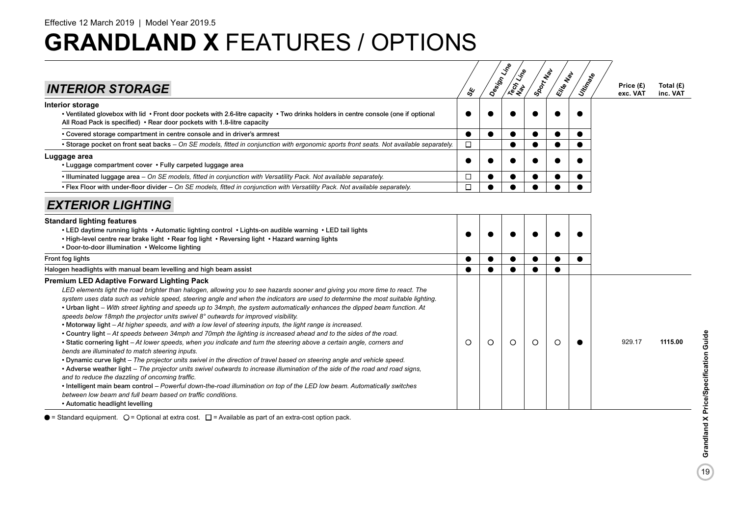| <b>INTERIOR STORAGE</b>                                                                                                                                                                                                                                                                                                                                                                                                                                                                                                                                                                                                                                                                                                                                                                                                                                                                                                                                                                                                                                                                                                                                                                                                                                                                                                                                                                                                                                                                                    | ఢ్త       | Design Vine | Tech Line | Sport New | Elite Map | Utingake  | Price (£)<br>exc. VAT | Total $(E)$<br>inc. VAT |
|------------------------------------------------------------------------------------------------------------------------------------------------------------------------------------------------------------------------------------------------------------------------------------------------------------------------------------------------------------------------------------------------------------------------------------------------------------------------------------------------------------------------------------------------------------------------------------------------------------------------------------------------------------------------------------------------------------------------------------------------------------------------------------------------------------------------------------------------------------------------------------------------------------------------------------------------------------------------------------------------------------------------------------------------------------------------------------------------------------------------------------------------------------------------------------------------------------------------------------------------------------------------------------------------------------------------------------------------------------------------------------------------------------------------------------------------------------------------------------------------------------|-----------|-------------|-----------|-----------|-----------|-----------|-----------------------|-------------------------|
| Interior storage<br>• Ventilated glovebox with lid • Front door pockets with 2.6-litre capacity • Two drinks holders in centre console (one if optional<br>All Road Pack is specified) • Rear door pockets with 1.8-litre capacity                                                                                                                                                                                                                                                                                                                                                                                                                                                                                                                                                                                                                                                                                                                                                                                                                                                                                                                                                                                                                                                                                                                                                                                                                                                                         | ●         |             |           |           |           |           |                       |                         |
| • Covered storage compartment in centre console and in driver's armrest                                                                                                                                                                                                                                                                                                                                                                                                                                                                                                                                                                                                                                                                                                                                                                                                                                                                                                                                                                                                                                                                                                                                                                                                                                                                                                                                                                                                                                    | $\bullet$ |             |           |           | $\bullet$ |           |                       |                         |
| • Storage pocket on front seat backs - On SE models, fitted in conjunction with ergonomic sports front seats. Not available separately.                                                                                                                                                                                                                                                                                                                                                                                                                                                                                                                                                                                                                                                                                                                                                                                                                                                                                                                                                                                                                                                                                                                                                                                                                                                                                                                                                                    | $\Box$    |             | $\bullet$ |           |           |           |                       |                         |
| Luggage area<br>• Luggage compartment cover • Fully carpeted luggage area                                                                                                                                                                                                                                                                                                                                                                                                                                                                                                                                                                                                                                                                                                                                                                                                                                                                                                                                                                                                                                                                                                                                                                                                                                                                                                                                                                                                                                  | ●         |             |           |           |           |           |                       |                         |
| • Illuminated luggage area – On SE models, fitted in conjunction with Versatility Pack. Not available separately.                                                                                                                                                                                                                                                                                                                                                                                                                                                                                                                                                                                                                                                                                                                                                                                                                                                                                                                                                                                                                                                                                                                                                                                                                                                                                                                                                                                          | □         |             |           |           |           |           |                       |                         |
| • Flex Floor with under-floor divider – On SE models, fitted in conjunction with Versatility Pack. Not available separately.                                                                                                                                                                                                                                                                                                                                                                                                                                                                                                                                                                                                                                                                                                                                                                                                                                                                                                                                                                                                                                                                                                                                                                                                                                                                                                                                                                               | П         |             |           |           |           |           |                       |                         |
| <b>EXTERIOR LIGHTING</b>                                                                                                                                                                                                                                                                                                                                                                                                                                                                                                                                                                                                                                                                                                                                                                                                                                                                                                                                                                                                                                                                                                                                                                                                                                                                                                                                                                                                                                                                                   |           |             |           |           |           |           |                       |                         |
| <b>Standard lighting features</b><br>• LED daytime running lights • Automatic lighting control • Lights-on audible warning • LED tail lights<br>. High-level centre rear brake light . Rear fog light . Reversing light . Hazard warning lights<br>• Door-to-door illumination • Welcome lighting                                                                                                                                                                                                                                                                                                                                                                                                                                                                                                                                                                                                                                                                                                                                                                                                                                                                                                                                                                                                                                                                                                                                                                                                          |           |             |           |           |           |           |                       |                         |
| Front fog lights                                                                                                                                                                                                                                                                                                                                                                                                                                                                                                                                                                                                                                                                                                                                                                                                                                                                                                                                                                                                                                                                                                                                                                                                                                                                                                                                                                                                                                                                                           | $\bullet$ |             | $\bullet$ |           |           | $\bullet$ |                       |                         |
| Halogen headlights with manual beam levelling and high beam assist                                                                                                                                                                                                                                                                                                                                                                                                                                                                                                                                                                                                                                                                                                                                                                                                                                                                                                                                                                                                                                                                                                                                                                                                                                                                                                                                                                                                                                         |           |             |           |           |           |           |                       |                         |
| <b>Premium LED Adaptive Forward Lighting Pack</b><br>LED elements light the road brighter than halogen, allowing you to see hazards sooner and giving you more time to react. The<br>system uses data such as vehicle speed, steering angle and when the indicators are used to determine the most suitable lighting.<br>• Urban light – With street lighting and speeds up to 34mph, the system automatically enhances the dipped beam function. At<br>speeds below 18mph the projector units swivel 8° outwards for improved visibility.<br>• Motorway light – At higher speeds, and with a low level of steering inputs, the light range is increased.<br>• Country light – At speeds between 34mph and 70mph the lighting is increased ahead and to the sides of the road.<br>• Static cornering light - At lower speeds, when you indicate and turn the steering above a certain angle, corners and<br>bends are illuminated to match steering inputs.<br>• Dynamic curve light – The projector units swivel in the direction of travel based on steering angle and vehicle speed.<br>• Adverse weather light – The projector units swivel outwards to increase illumination of the side of the road and road signs,<br>and to reduce the dazzling of oncoming traffic.<br>. Intelligent main beam control - Powerful down-the-road illumination on top of the LED low beam. Automatically switches<br>between low beam and full beam based on traffic conditions.<br>• Automatic headlight levelling | $\circ$   | $\circ$     | O         | $\circ$   | $\circ$   |           | 929.17                | 1115.00                 |

 $\bullet$  = Standard equipment.  $\bigcirc$  = Optional at extra cost.  $\Box$  = Available as part of an extra-cost option pack.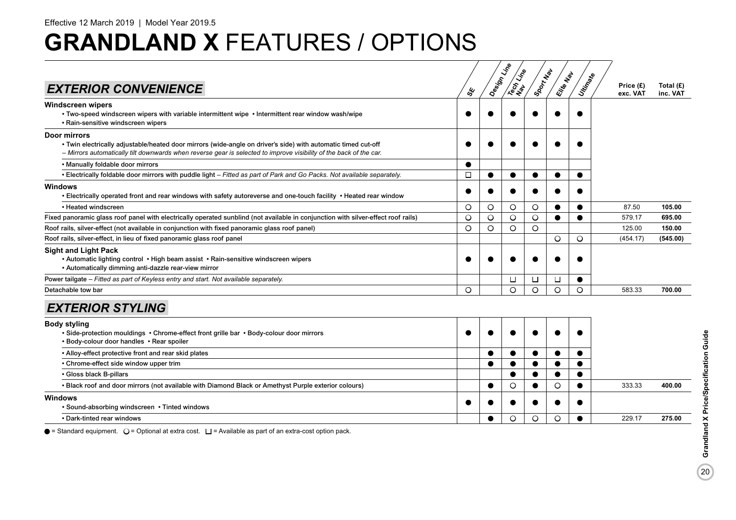|                                                                                                                                                                                                                                     |           | Design Line | Tech Line | ISOON NOW | Ellie Map | Utin <sub>Ratio</sub> | Price (£) | Total $(E)$ |
|-------------------------------------------------------------------------------------------------------------------------------------------------------------------------------------------------------------------------------------|-----------|-------------|-----------|-----------|-----------|-----------------------|-----------|-------------|
| <b>EXTERIOR CONVENIENCE</b>                                                                                                                                                                                                         | su        |             |           |           |           |                       | exc. VAT  | inc. VAT    |
| Windscreen wipers<br>. Two-speed windscreen wipers with variable intermittent wipe . Intermittent rear window wash/wipe<br>• Rain-sensitive windscreen wipers                                                                       |           |             |           |           |           |                       |           |             |
| Door mirrors                                                                                                                                                                                                                        |           |             |           |           |           |                       |           |             |
| • Twin electrically adjustable/heated door mirrors (wide-angle on driver's side) with automatic timed cut-off<br>- Mirrors automatically tilt downwards when reverse gear is selected to improve visibility of the back of the car. |           |             |           |           |           |                       |           |             |
| . Manually foldable door mirrors                                                                                                                                                                                                    | $\bullet$ |             |           |           |           |                       |           |             |
| • Electrically foldable door mirrors with puddle light - Fitted as part of Park and Go Packs. Not available separately.                                                                                                             | $\Box$    | €           |           |           |           |                       |           |             |
| Windows<br>• Electrically operated front and rear windows with safety autoreverse and one-touch facility • Heated rear window                                                                                                       |           |             |           |           |           |                       |           |             |
| • Heated windscreen                                                                                                                                                                                                                 | O         | $\circ$     | O         | $\circ$   |           |                       | 87.50     | 105.00      |
| Fixed panoramic glass roof panel with electrically operated sunblind (not available in conjunction with silver-effect roof rails)                                                                                                   | O         | $\circ$     | $\circ$   | $\circ$   | ●         | $\bullet$             | 579.17    | 695.00      |
| Roof rails, silver-effect (not available in conjunction with fixed panoramic glass roof panel)                                                                                                                                      | $\circ$   | $\circ$     | O         | $\circ$   |           |                       | 125.00    | 150.00      |
| Roof rails, silver-effect, in lieu of fixed panoramic glass roof panel                                                                                                                                                              |           |             |           |           | O         | O                     | (454.17)  | (545.00)    |
| <b>Sight and Light Pack</b><br>• Automatic lighting control • High beam assist • Rain-sensitive windscreen wipers<br>• Automatically dimming anti-dazzle rear-view mirror                                                           |           |             |           |           |           |                       |           |             |
| Power tailgate – Fitted as part of Keyless entry and start. Not available separately.                                                                                                                                               |           |             | $\Box$    | $\Box$    | □         |                       |           |             |
| Detachable tow bar                                                                                                                                                                                                                  | $\circ$   |             | $\circ$   | $\circ$   | $\circ$   | O                     | 583.33    | 700.00      |
| <b>EXTERIOR STYLING</b>                                                                                                                                                                                                             |           |             |           |           |           |                       |           |             |
| Body styling<br>• Side-protection mouldings • Chrome-effect front grille bar • Body-colour door mirrors<br>• Body-colour door handles • Rear spoiler                                                                                |           |             |           |           |           |                       |           |             |
| • Alloy-effect protective front and rear skid plates                                                                                                                                                                                |           |             |           |           | $\bullet$ |                       |           |             |
| • Chrome-effect side window upper trim                                                                                                                                                                                              |           | ●           | ●         |           | $\bullet$ | $\bullet$             |           |             |
| • Gloss black B-pillars                                                                                                                                                                                                             |           |             |           |           |           |                       |           |             |
| . Black roof and door mirrors (not available with Diamond Black or Amethyst Purple exterior colours)                                                                                                                                |           |             | O         |           | $\circ$   | $\bullet$             | 333.33    | 400.00      |
| Windows                                                                                                                                                                                                                             |           |             |           |           |           |                       |           |             |
| • Sound-absorbing windscreen • Tinted windows                                                                                                                                                                                       |           |             |           |           |           |                       |           |             |
| • Dark-tinted rear windows                                                                                                                                                                                                          |           | ●           | O         | $\circ$   | O         |                       | 229.17    | 275.00      |

 $\bullet$  = Standard equipment.  $\bigcirc$  = Optional at extra cost.  $\Box$  = Available as part of an extra-cost option pack.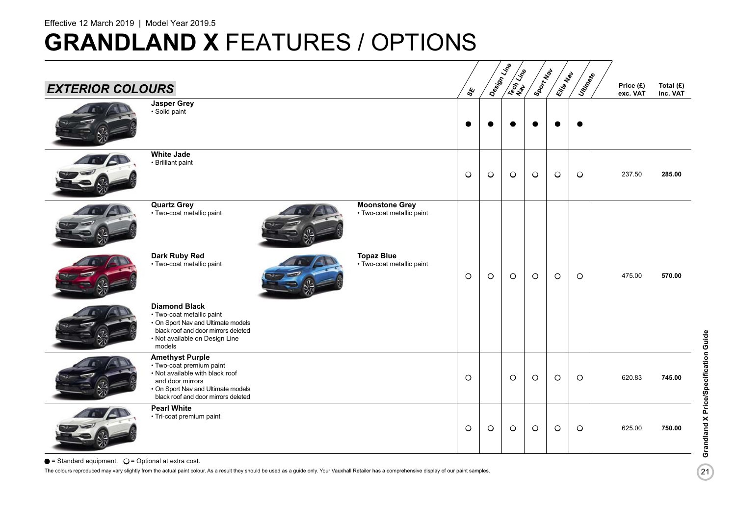| <b>EXTERIOR COLOURS</b> |                                                                                                                                                                                        |                                                    | sy.     | Design Line | <b>SERVISE</b> | Sport May | Eite Map | Utin <sub>Riko</sub> | Price (£)<br>exc. VAT | Total (£)<br>inc. VAT |
|-------------------------|----------------------------------------------------------------------------------------------------------------------------------------------------------------------------------------|----------------------------------------------------|---------|-------------|----------------|-----------|----------|----------------------|-----------------------|-----------------------|
|                         | <b>Jasper Grey</b><br>· Solid paint                                                                                                                                                    |                                                    |         |             |                |           |          | $\bullet$            |                       |                       |
|                         | <b>White Jade</b><br>• Brilliant paint                                                                                                                                                 |                                                    | $\circ$ | $\circ$     | $\circ$        | $\circ$   | $\circ$  | $\circ$              | 237.50                | 285.00                |
|                         | <b>Quartz Grey</b><br>• Two-coat metallic paint                                                                                                                                        | <b>Moonstone Grey</b><br>• Two-coat metallic paint |         |             |                |           |          |                      |                       |                       |
|                         | Dark Ruby Red<br>• Two-coat metallic paint                                                                                                                                             | <b>Topaz Blue</b><br>• Two-coat metallic paint     | $\circ$ | $\circ$     | $\circ$        | $\circ$   | $\circ$  | $\circ$              | 475.00                | 570.00                |
|                         | <b>Diamond Black</b><br>• Two-coat metallic paint<br>• On Sport Nav and Ultimate models<br>black roof and door mirrors deleted<br>• Not available on Design Line<br>models             |                                                    |         |             |                |           |          |                      |                       |                       |
|                         | <b>Amethyst Purple</b><br>· Two-coat premium paint<br>• Not available with black roof<br>and door mirrors<br>• On Sport Nav and Ultimate models<br>black roof and door mirrors deleted |                                                    | $\circ$ |             | $\circ$        | $\circ$   | $\circ$  | $\circ$              | 620.83                | 745.00                |
|                         | <b>Pearl White</b><br>• Tri-coat premium paint                                                                                                                                         |                                                    | $\circ$ | $\circ$     | $\circ$        | $\circ$   | $\circ$  | $\circ$              | 625.00                | 750.00                |

 $\bullet$  = Standard equipment.  $\circ$  = Optional at extra cost.

The colours reproduced may vary slightly from the actual paint colour. As a result they should be used as a guide only. Your Vauxhall Retailer has a comprehensive display of our paint samples.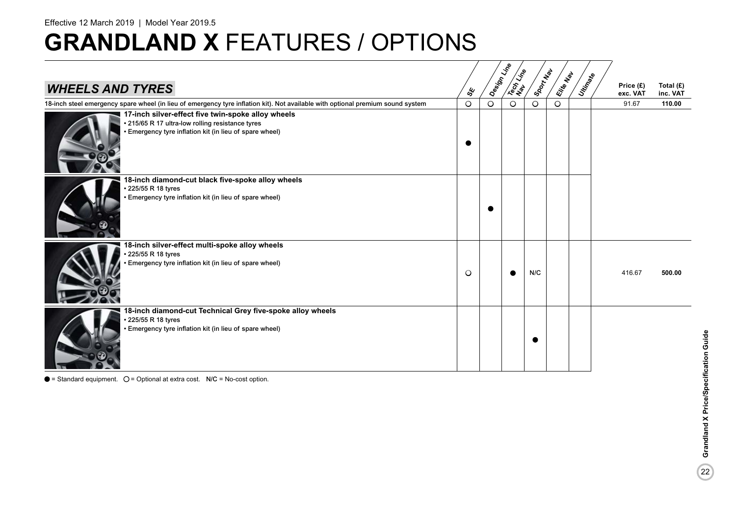### Effective 12 March 2019 | Model Year 2019.5

## **GRANDLAND X** FEATURES / OPTIONS

| <b>WHEELS AND TYRES</b>                                                                                                                                           | ధ్య     | Design Line | Tech Life | Sport Nev | Eitie Map | Utingale | Price (£)<br>exc. VAT | Total $(E)$<br>inc. VAT |
|-------------------------------------------------------------------------------------------------------------------------------------------------------------------|---------|-------------|-----------|-----------|-----------|----------|-----------------------|-------------------------|
| 18-inch steel emergency spare wheel (in lieu of emergency tyre inflation kit). Not available with optional premium sound system                                   | $\circ$ | $\circ$     | $\circ$   | $\circ$   | $\circ$   |          | 91.67                 | 110.00                  |
| 17-inch silver-effect five twin-spoke alloy wheels<br>• 215/65 R 17 ultra-low rolling resistance tyres<br>• Emergency tyre inflation kit (in lieu of spare wheel) |         |             |           |           |           |          |                       |                         |
| 18-inch diamond-cut black five-spoke alloy wheels<br>225/55 R 18 tyres<br>· Emergency tyre inflation kit (in lieu of spare wheel)                                 |         |             |           |           |           |          |                       |                         |
| 18-inch silver-effect multi-spoke alloy wheels<br>225/55 R 18 tyres<br>Emergency tyre inflation kit (in lieu of spare wheel)                                      | $\circ$ |             |           | N/C       |           |          | 416.67                | 500.00                  |
| 18-inch diamond-cut Technical Grey five-spoke alloy wheels<br>225/55 R 18 tyres<br>· Emergency tyre inflation kit (in lieu of spare wheel)                        |         |             |           |           |           |          |                       |                         |

 $\bullet$  = Standard equipment.  $\circ$  = Optional at extra cost. N/C = No-cost option.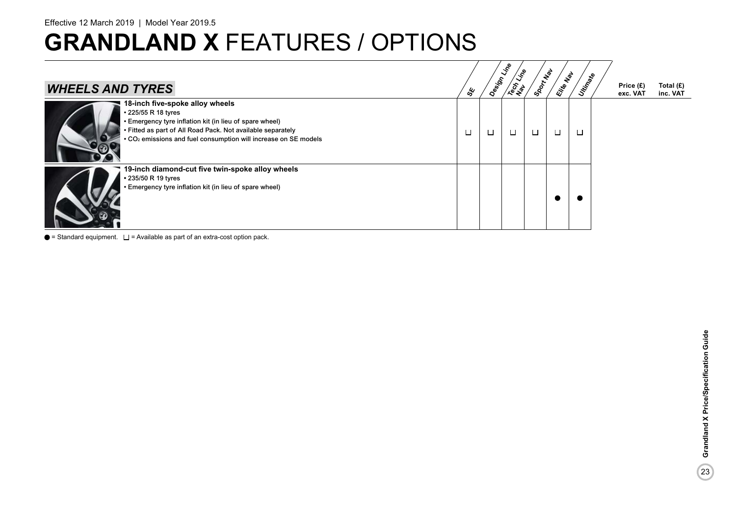Effective 12 March 2019 | Model Year 2019.5

# **GRANDLAND X** FEATURES / OPTIONS

| <b>WHEELS AND TYRES</b>                                                                                                                                                                                                                                         | ద్ద | Design Line | $\mathcal{S}^{\mathcal{S}}$<br><b>Le 25 a</b> | Sport Map | Elite Map | Uttingte | Price (£)<br>exc. VAT | Total $(E)$<br>inc. VAT |
|-----------------------------------------------------------------------------------------------------------------------------------------------------------------------------------------------------------------------------------------------------------------|-----|-------------|-----------------------------------------------|-----------|-----------|----------|-----------------------|-------------------------|
| 18-inch five-spoke alloy wheels<br>• 225/55 R 18 tyres<br>• Emergency tyre inflation kit (in lieu of spare wheel)<br>• Fitted as part of All Road Pack. Not available separately<br>• CO <sub>2</sub> emissions and fuel consumption will increase on SE models | □   |             | □                                             | □         | □         | $\Box$   |                       |                         |
| 19-inch diamond-cut five twin-spoke alloy wheels<br>• 235/50 R 19 tyres<br>• Emergency tyre inflation kit (in lieu of spare wheel)                                                                                                                              |     |             |                                               |           |           |          |                       |                         |

 $\bullet$  = Standard equipment.  $\square$  = Available as part of an extra-cost option pack.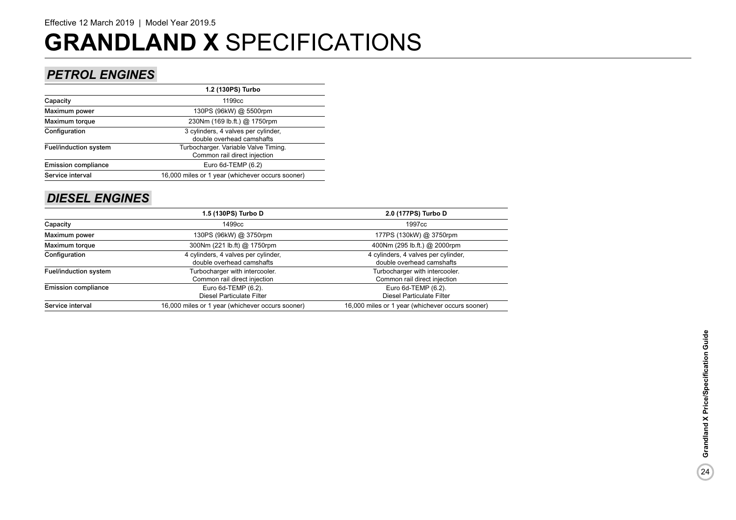### *PETROL ENGINES*

|                              | 1.2 (130PS) Turbo                                                    |
|------------------------------|----------------------------------------------------------------------|
| Capacity                     | 1199 <sub>cc</sub>                                                   |
| Maximum power                | 130PS (96kW) @ 5500rpm                                               |
| Maximum torque               | 230Nm (169 lb.ft.) @ 1750rpm                                         |
| Configuration                | 3 cylinders, 4 valves per cylinder,<br>double overhead camshafts     |
| <b>Fuel/induction system</b> | Turbocharger. Variable Valve Timing.<br>Common rail direct injection |
| <b>Emission compliance</b>   | Euro $6d$ -TEMP $(6.2)$                                              |
| Service interval             | 16,000 miles or 1 year (whichever occurs sooner)                     |
|                              |                                                                      |

### *DIESEL ENGINES*

|                            | 1.5 (130PS) Turbo D                                              | 2.0 (177PS) Turbo D                                              |
|----------------------------|------------------------------------------------------------------|------------------------------------------------------------------|
| Capacity                   | 1499cc                                                           | 1997 <sub>cc</sub>                                               |
| Maximum power              | 130PS (96kW) @ 3750rpm                                           | 177PS (130kW) @ 3750rpm                                          |
| Maximum torque             | 300Nm (221 lb.ft) @ 1750rpm                                      | 400Nm (295 lb.ft.) @ 2000rpm                                     |
| Configuration              | 4 cylinders, 4 valves per cylinder,<br>double overhead camshafts | 4 cylinders, 4 valves per cylinder,<br>double overhead camshafts |
| Fuel/induction system      | Turbocharger with intercooler.<br>Common rail direct injection   | Turbocharger with intercooler.<br>Common rail direct injection   |
| <b>Emission compliance</b> | Euro 6d-TEMP (6.2).<br><b>Diesel Particulate Filter</b>          | Euro 6d-TEMP (6.2).<br><b>Diesel Particulate Filter</b>          |
| Service interval           | 16,000 miles or 1 year (whichever occurs sooner)                 | 16,000 miles or 1 year (whichever occurs sooner)                 |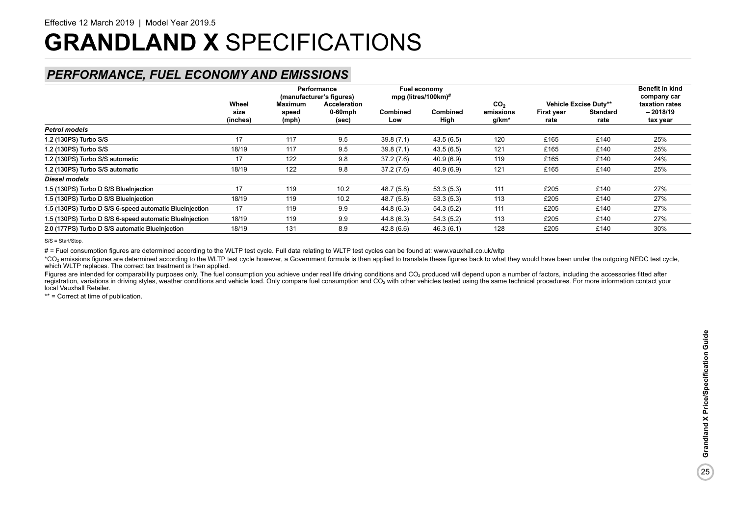### *PERFORMANCE, FUEL ECONOMY AND EMISSIONS*

|                                                         |                           | <b>Maximum</b> | Performance<br>(manufacturer's figures)    |                        | Fuel economy<br>mpg (litres/100km)# |                                                   |                    |                                                  | <b>Benefit in kind</b><br>company car    |  |
|---------------------------------------------------------|---------------------------|----------------|--------------------------------------------|------------------------|-------------------------------------|---------------------------------------------------|--------------------|--------------------------------------------------|------------------------------------------|--|
|                                                         | Wheel<br>size<br>(inches) | speed<br>(mph) | <b>Acceleration</b><br>$0-60$ mph<br>(sec) | <b>Combined</b><br>Low | <b>Combined</b><br>High             | CO <sub>2</sub><br>emissions<br>g/km <sup>*</sup> | First year<br>rate | Vehicle Excise Duty**<br><b>Standard</b><br>rate | taxation rates<br>$-2018/19$<br>tax year |  |
| <b>Petrol models</b>                                    |                           |                |                                            |                        |                                     |                                                   |                    |                                                  |                                          |  |
| 1.2 (130PS) Turbo S/S                                   | 17                        | 117            | 9.5                                        | 39.8(7.1)              | 43.5(6.5)                           | 120                                               | £165               | £140                                             | 25%                                      |  |
| 1.2 (130PS) Turbo S/S                                   | 18/19                     | 117            | 9.5                                        | 39.8(7.1)              | 43.5(6.5)                           | 121                                               | £165               | £140                                             | 25%                                      |  |
| 1.2 (130PS) Turbo S/S automatic                         | 17                        | 122            | 9.8                                        | 37.2 (7.6)             | 40.9 (6.9)                          | 119                                               | £165               | £140                                             | 24%                                      |  |
| 1.2 (130PS) Turbo S/S automatic                         | 18/19                     | 122            | 9.8                                        | 37.2(7.6)              | 40.9 (6.9)                          | 121                                               | £165               | £140                                             | 25%                                      |  |
| Diesel models                                           |                           |                |                                            |                        |                                     |                                                   |                    |                                                  |                                          |  |
| 1.5 (130PS) Turbo D S/S BlueInjection                   | 17                        | 119            | 10.2                                       | 48.7 (5.8)             | 53.3(5.3)                           | 111                                               | £205               | £140                                             | 27%                                      |  |
| 1.5 (130PS) Turbo D S/S BlueInjection                   | 18/19                     | 119            | 10.2                                       | 48.7 (5.8)             | 53.3(5.3)                           | 113                                               | £205               | £140                                             | 27%                                      |  |
| 1.5 (130PS) Turbo D S/S 6-speed automatic BlueInjection | 17                        | 119            | 9.9                                        | 44.8 (6.3)             | 54.3(5.2)                           | 111                                               | £205               | £140                                             | 27%                                      |  |
| 1.5 (130PS) Turbo D S/S 6-speed automatic BlueInjection | 18/19                     | 119            | 9.9                                        | 44.8 (6.3)             | 54.3(5.2)                           | 113                                               | £205               | £140                                             | 27%                                      |  |
| 2.0 (177PS) Turbo D S/S automatic BlueInjection         | 18/19                     | 131            | 8.9                                        | 42.8(6.6)              | 46.3 (6.1)                          | 128                                               | £205               | £140                                             | 30%                                      |  |

S/S = Start/Stop.

# = Fuel consumption figures are determined according to the WLTP test cycle. Full data relating to WLTP test cycles can be found at: www.vauxhall.co.uk/wltp

\*CO<sub>2</sub> emissions figures are determined according to the WLTP test cycle however, a Government formula is then applied to translate these figures back to what they would have been under the outgoing NEDC test cycle. which WLTP replaces. The correct tax treatment is then applied.

Figures are intended for comparability purposes only. The fuel consumption you achieve under real life driving conditions and CO<sub>2</sub> produced will depend upon a number of factors, including the accessories fitted after registration, variations in driving styles, weather conditions and vehicle load. Only compare fuel consumption and CO<sub>2</sub> with other vehicles tested using the same technical procedures. For more information contact your local Vauxhall Retailer.

\*\* = Correct at time of publication.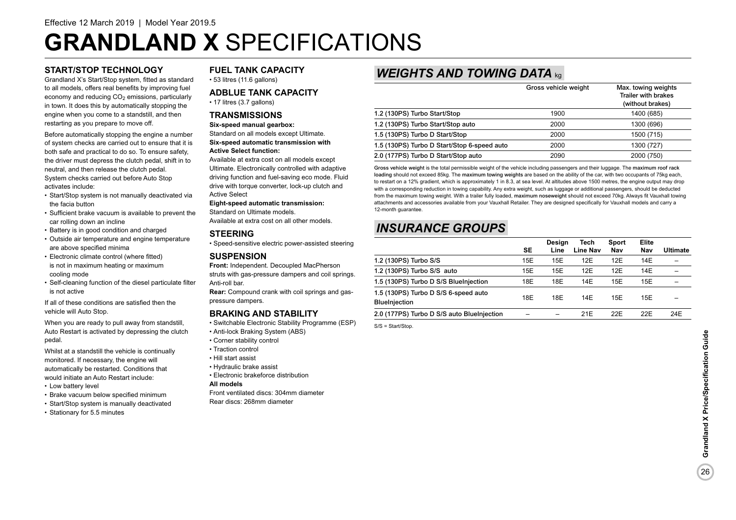### **START/STOP TECHNOLOGY**

Grandland X's Start/Stop system, fitted as standard to all models, offers real benefits by improving fuel economy and reducing  $CO<sub>2</sub>$  emissions, particularly in town. It does this by automatically stopping the engine when you come to a standstill, and then restarting as you prepare to move off.

Before automatically stopping the engine a number of system checks are carried out to ensure that it is both safe and practical to do so. To ensure safety, the driver must depress the clutch pedal, shift in to neutral, and then release the clutch pedal. System checks carried out before Auto Stop activates include:

- Start/Stop system is not manually deactivated via the facia button
- Sufficient brake vacuum is available to prevent the car rolling down an incline
- Battery is in good condition and charged
- Outside air temperature and engine temperature are above specified minima
- Electronic climate control (where fitted) is not in maximum heating or maximum cooling mode
- Self-cleaning function of the diesel particulate filter is not active

If all of these conditions are satisfied then the vehicle will Auto Stop.

When you are ready to pull away from standstill, Auto Restart is activated by depressing the clutch pedal.

Whilst at a standstill the vehicle is continually monitored. If necessary, the engine will automatically be restarted. Conditions that would initiate an Auto Restart include:

- Low battery level
- Brake vacuum below specified minimum
- Start/Stop system is manually deactivated
- Stationary for 5.5 minutes

### **FUEL TANK CAPACITY**

• 53 litres (11.6 gallons)

### **ADBLUE TANK CAPACITY**

• 17 litres (3.7 gallons)

### **TRANSMISSIONS**

### **Six-speed manual gearbox:** Standard on all models except Ultimate. **Six-speed automatic transmission with**

**Active Select function:**

Available at extra cost on all models except Ultimate. Electronically controlled with adaptive driving function and fuel-saving eco mode. Fluid drive with torque converter, lock-up clutch and Active Select

### **Eight-speed automatic transmission:**

Standard on Ultimate models. Available at extra cost on all other models.

### **STEERING**

• Speed-sensitive electric power-assisted steering

### **SUSPENSION**

**Front:** Independent. Decoupled MacPherson struts with gas-pressure dampers and coil springs. Anti-roll bar.

**Rear:** Compound crank with coil springs and gaspressure dampers.

### **BRAKING AND STABILITY**

- Switchable Electronic Stability Programme (ESP)
- Anti-lock Braking System (ABS)
- Corner stability control
- Traction control
- Hill start assist
- Hydraulic brake assist
- Electronic brakeforce distribution

### **All models**

Front ventilated discs: 304mm diameter Rear discs: 268mm diameter

### *WEIGHTS AND TOWING DATA* kg

|                                             | Gross vehicle weight | Max. towing weights<br>Trailer with brakes<br>(without brakes) |
|---------------------------------------------|----------------------|----------------------------------------------------------------|
| 1.2 (130PS) Turbo Start/Stop                | 1900                 | 1400 (685)                                                     |
| 1.2 (130PS) Turbo Start/Stop auto           | 2000                 | 1300 (696)                                                     |
| 1.5 (130PS) Turbo D Start/Stop              | 2000                 | 1500 (715)                                                     |
| 1.5 (130PS) Turbo D Start/Stop 6-speed auto | 2000                 | 1300 (727)                                                     |
| 2.0 (177PS) Turbo D Start/Stop auto         | 2090                 | 2000 (750)                                                     |

Gross vehicle weight is the total permissible weight of the vehicle including passengers and their luggage. The maximum roof rack loading should not exceed 85kg. The maximum towing weights are based on the ability of the car, with two occupants of 75kg each, to restart on a 12% gradient, which is approximately 1 in 8.3, at sea level. At altitudes above 1500 metres, the engine output may drop with a corresponding reduction in towing capability. Any extra weight, such as luggage or additional passengers, should be deducted from the maximum towing weight. With a trailer fully loaded, maximum noseweight should not exceed 70kg. Always fit Vauxhall towing attachments and accessories available from your Vauxhall Retailer. They are designed specifically for Vauxhall models and carry a 12-month guarantee.

### *INSURANCE GROUPS*

|                                                              | <b>SE</b> | <b>Desian</b><br>Line | Tech<br>Line Nav | Sport<br>Nav | Elite<br>Nav | Ultimate |
|--------------------------------------------------------------|-----------|-----------------------|------------------|--------------|--------------|----------|
| 1.2 (130PS) Turbo S/S                                        | 15E       | 15E                   | 12E              | 12E          | 14E          |          |
| 1.2 (130PS) Turbo S/S auto                                   | 15E       | 15E                   | 12E              | 12E          | 14E          |          |
| 1.5 (130PS) Turbo D S/S BlueInjection                        | 18E       | 18E                   | 14E              | 15E          | 15E          |          |
| 1.5 (130PS) Turbo D S/S 6-speed auto<br><b>BlueInjection</b> | 18E       | 18E                   | 14E              | 15E          | 15E          |          |
| 2.0 (177PS) Turbo D S/S auto BlueInjection                   |           |                       | 21E              | 22E          | 22E          | 24E      |

S/S = Start/Stop.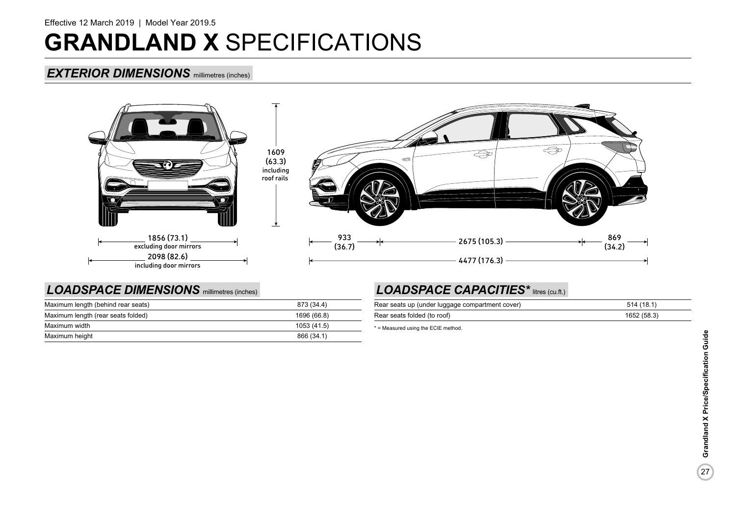### *EXTERIOR DIMENSIONS* millimetres (inches)



### *LOADSPACE DIMENSIONS* millimetres (inches)

| Maximum length (behind rear seats) | 873 (34.4)  |
|------------------------------------|-------------|
| Maximum length (rear seats folded) | 1696 (66.8) |
| Maximum width                      | 1053 (41.5) |
| Maximum height                     | 866 (34.1)  |

### *LOADSPACE CAPACITIES\** litres (cu.ft.)

| Rear seats up (under luggage compartment cover) | 514 (18.1)  |
|-------------------------------------------------|-------------|
| Rear seats folded (to roof)                     | 1652 (58.3) |

\* = Measured using the ECIE method.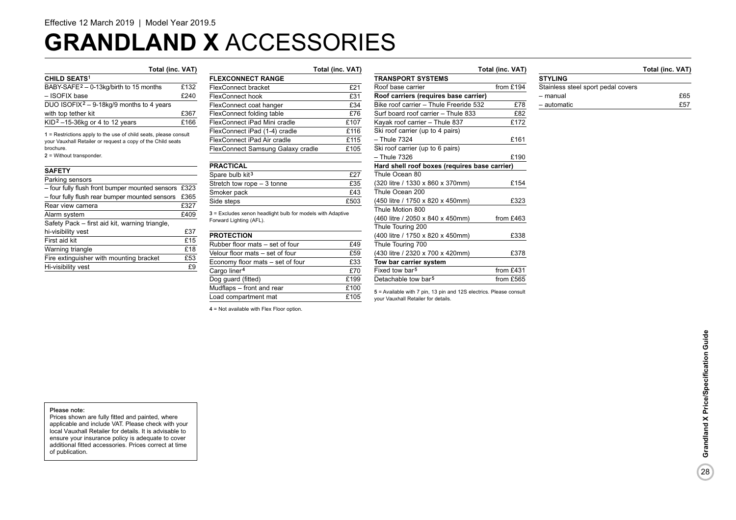# **GRANDLAND X** ACCESSORIES

| <b>CHILD SEATS<sup>1</sup></b>                       |      |
|------------------------------------------------------|------|
| BABY-SAFE <sup>2</sup> - 0-13kg/birth to 15 months   | £132 |
| - ISOFIX base                                        | £240 |
| DUO ISOFIX <sup>2</sup> – 9-18kg/9 months to 4 years |      |
| with top tether kit                                  | £367 |
| KID <sup>2</sup> $-15-36$ kg or 4 to 12 years        | £166 |
|                                                      |      |

1 = Restrictions apply to the use of child seats, please consult your Vauxhall Retailer or request a copy of the Child seats brochure.

2 = Without transponder.

#### **SAFETY**

| Parking sensors                                 |      |
|-------------------------------------------------|------|
| - four fully flush front bumper mounted sensors | £323 |
| - four fully flush rear bumper mounted sensors  | £365 |
| Rear view camera                                | £327 |
| Alarm system                                    | £409 |
| Safety Pack - first aid kit, warning triangle,  |      |
| hi-visibility vest                              | £37  |
| First aid kit                                   | £15  |
| Warning triangle                                | £18  |
| Fire extinguisher with mounting bracket         | £53  |
| Hi-visibility vest                              | ۴g   |

### **Total (inc. VAT) Total (inc. VAT) Total (inc. VAT) Total (inc. VAT) FLEXCONNECT RANGE**  FlexConnect bracket **£21**<br>FlexConnect hook **£31** FlexConnect hook FlexConnect coat hanger E34 FlexConnect folding table  $£76$ FlexConnect iPad Mini cradle E107 FlexConnect iPad (1-4) cradle E116 FlexConnect iPad Air cradle E115 FlexConnect Samsung Galaxy cradle £105

| <b>PRACTICAL</b>            |      |
|-----------------------------|------|
| Spare bulb kit <sup>3</sup> | £27  |
| Stretch tow rope - 3 tonne  | £35  |
| Smoker pack                 | f43  |
| Side steps                  | £503 |

3 = Excludes xenon headlight bulb for models with Adaptive Forward Lighting (AFL).

| <b>PROTECTION</b>                |      |
|----------------------------------|------|
| Rubber floor mats - set of four  | £49  |
| Velour floor mats - set of four  | £59  |
| Economy floor mats - set of four | £33  |
| Cargo liner <sup>4</sup>         | £70  |
| Dog guard (fitted)               | £199 |
| Mudflaps - front and rear        | £100 |
| Load compartment mat             | £105 |

4 = Not available with Flex Floor option.

### **TRANSPORT SYSTEMS** Roof base carrier from £194 **Roof carriers (requires base carrier)** Bike roof carrier – Thule Freeride 532 £78 Surf board roof carrier – Thule 833 £82 Kayak roof carrier – Thule  $837$  £172 Ski roof carrier (up to 4 pairs) – Thule 7324 £161 Ski roof carrier (up to 6 pairs) – Thule 7326 £190 **Hard shell roof boxes (requires base carrier)** Thule Ocean 80 (320 litre / 1330 x 860 x 370mm) £154 Thule Ocean 200 (450 litre / 1750 x 820 x 450mm) £323 Thule Motion 800 (460 litre / 2050 x 840 x 450mm) from £463 Thule Touring 200 (400 litre / 1750 x 820 x 450mm) £338 Thule Touring 700 (430 litre / 2320 x 700 x 420mm) £378 **Tow bar carrier system** Fixed tow bar<sup>5</sup> from £431 Detachable tow bar<sup>5</sup> from  $f565$

5 = Available with 7 pin, 13 pin and 12S electrics. Please consult your Vauxhall Retailer for details.

**STYLING**

| --------                           |     |
|------------------------------------|-----|
| Stainless steel sport pedal covers |     |
| - manual                           | £65 |
| - automatic                        | £57 |

28

#### Please note:

Prices shown are fully fitted and painted, where applicable and include VAT. Please check with your local Vauxhall Retailer for details. It is advisable to ensure your insurance policy is adequate to cover additional fitted accessories. Prices correct at time of publication.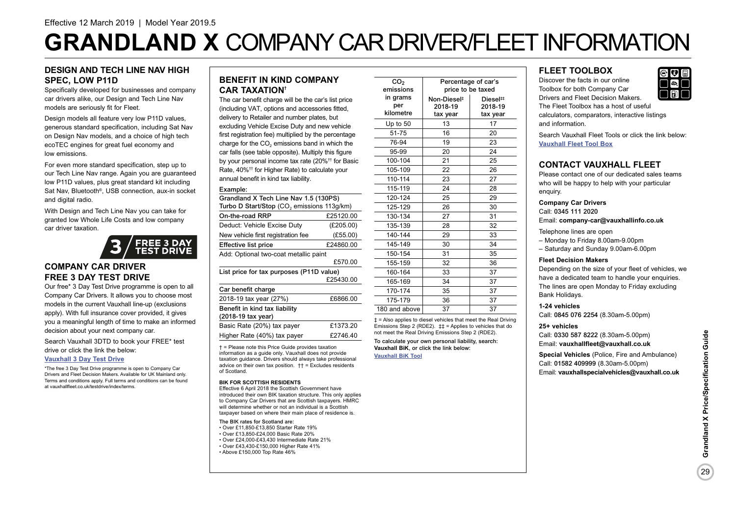# **GRANDLAND X** COMPANY CAR DRIVER/FLEET INFORMATION

### **DESIGN AND TECH LINE NAV HIGH SPEC, LOW P11D**

Specifically developed for businesses and company car drivers alike, our Design and Tech Line Nav models are seriously fit for Fleet.

Design models all feature very low P11D values. generous standard specification, including Sat Nav on Design Nav models, and a choice of high tech ecoTEC engines for great fuel economy and low emissions.

For even more standard specification, step up to our Tech Line Nav range. Again you are guaranteed low P11D values, plus great standard kit including Sat Nav, Bluetooth<sup>®</sup>, USB connection, aux-in socket and digital radio.

With Design and Tech Line Nav you can take for granted low Whole Life Costs and low company car driver taxation.



### **COMPANY CAR DRIVER FREE 3 DAY TEST DRIVE**

Our free\* 3 Day Test Drive programme is open to all Company Car Drivers. It allows you to choose most models in the current Vauxhall line-up (exclusions apply). With full insurance cover provided, it gives you a meaningful length of time to make an informed decision about your next company car.

Search Vauxhall 3DTD to book your FREE\* test

drive or click the link the below:

### **[Vauxhall 3 Day Test Drive](https://www.vauxhall.co.uk/tools/fleet/testdrive.html)**

\*The free 3 Day Test Drive programme is open to Company Car Drivers and Fleet Decision Makers. Available for UK Mainland only. Terms and conditions apply. Full terms and conditions can be found at vauxhallfleet.co.uk/testdrive/index/terms.

### **BENEFIT IN KIND COMPANY CAR TAXATION†**

The car benefit charge will be the car's list price (including VAT, options and accessories fitted, delivery to Retailer and number plates, but excluding Vehicle Excise Duty and new vehicle first registration fee) multiplied by the percentage charge for the CO<sub>2</sub> emissions band in which the car falls (see table opposite). Multiply this figure by your personal income tax rate (20%†† for Basic Rate, 40%†† for Higher Rate) to calculate your annual benefit in kind tax liability.

#### Example:

| Grandland X Tech Line Nav 1.5 (130PS)<br>Turbo D Start/Stop (CO <sub>2</sub> emissions 113g/km) |           |  |  |  |
|-------------------------------------------------------------------------------------------------|-----------|--|--|--|
| On-the-road RRP                                                                                 | £25120.00 |  |  |  |
| Deduct: Vehicle Excise Duty                                                                     | (E205.00) |  |  |  |
| New vehicle first registration fee                                                              | (E55.00)  |  |  |  |
| <b>Effective list price</b>                                                                     | £24860.00 |  |  |  |
| Add: Optional two-coat metallic paint                                                           |           |  |  |  |
|                                                                                                 | £570.00   |  |  |  |
| List price for tax purposes (P11D value)                                                        |           |  |  |  |
|                                                                                                 | £25430.00 |  |  |  |
| Car benefit charge                                                                              |           |  |  |  |
| 2018-19 tax year (27%)                                                                          | £6866.00  |  |  |  |
| Benefit in kind tax liability<br>(2018-19 tax year)                                             |           |  |  |  |
| Basic Rate (20%) tax payer                                                                      | £1373.20  |  |  |  |

Higher Rate (40%) tax payer £2746.40

† = Please note this Price Guide provides taxation information as a guide only. Vauxhall does not provide taxation guidance. Drivers should always take professional advice on their own tax position.  $\uparrow \uparrow$  = Excludes residents of Scotland.

#### **BIK FOR SCOTTISH RESIDENTS**

Effective 6 April 2018 the Scottish Government have introduced their own BIK taxation structure. This only applies to Company Car Drivers that are Scottish taxpayers. HMRC will determine whether or not an individual is a Scottish taxpayer based on where their main place of residence is.

The BIK rates for Scotland are:

- Over £11,850-£13,850 Starter Rate 19%
- Over £13,850-£24,000 Basic Rate 20%
- Over £24,000-£43,430 Intermediate Rate 21% • Over £43,430-£150,000 Higher Rate 41%
- Above £150,000 Top Rate 46%

CO<sub>2</sub> emissions in grams per kilometre Percentage of car's price to be taxed Non-Diesel‡ 2018-19 tax year Diesel‡‡ 2018-19 tax year Up to 50  $13$  13 17 51-75 16 20 76-94 19 23 95-99 20 24 100-104 21 25 105-109 22 26 110-114 23 27 115-119 | 24 | 28 120-124 25 29 125-129 26 30 130-134 27 31 135-139 28 32 140-144 29 33 145-149 30 34 150-154 31 35 155-159 32 36 160-164 33 37 165-169 34 37 170-174 35 37 175-179 36 37 180 and above 37 1 37

‡ = Also applies to diesel vehicles that meet the Real Driving Emissions Step 2 (RDE2). ‡‡ = Applies to vehicles that do not meet the Real Driving Emissions Step 2 (RDE2).

To calculate your own personal liability, search: **Vauxhall BiK**, or click the link below: **[Vauxhall BiK Tool](https://www.vauxhall.co.uk/fleet/tools-and-apps.html)**

### **FLEET TOOLBOX**

Discover the facts in our online Toolbox for both Company Car Drivers and Fleet Decision Makers. The Fleet Toolbox has a host of useful calculators, comparators, interactive listings and information.

Search Vauxhall Fleet Tools or click the link below: **[Vauxhall Fleet Tool Box](https://www.vauxhall.co.uk/fleet/tools-and-apps.html)**

### **CONTACT VAUXHALL FLEET**

Please contact one of our dedicated sales teams who will be happy to help with your particular enquiry.

#### **Company Car Drivers**

Call: 0345 111 2020 Email: **company-car@vauxhallinfo.co.uk**

Telephone lines are open

- Monday to Friday 8.00am-9.00pm
- Saturday and Sunday 9.00am-6.00pm

### **Fleet Decision Makers**

Depending on the size of your fleet of vehicles, we have a dedicated team to handle your enquiries. The lines are open Monday to Friday excluding Bank Holidays.

#### **1-24 vehicles**

Call: 0845 076 2254 (8.30am-5.00pm)

#### **25+ vehicles**

Call: 0330 587 8222 (8.30am-5.00pm) Email: **vauxhallfleet@vauxhall.co.uk**

**Special Vehicles** (Police, Fire and Ambulance) Call: 01582 409999 (8.30am-5.00pm) Email: **vauxhallspecialvehicles@vauxhall.co.uk**

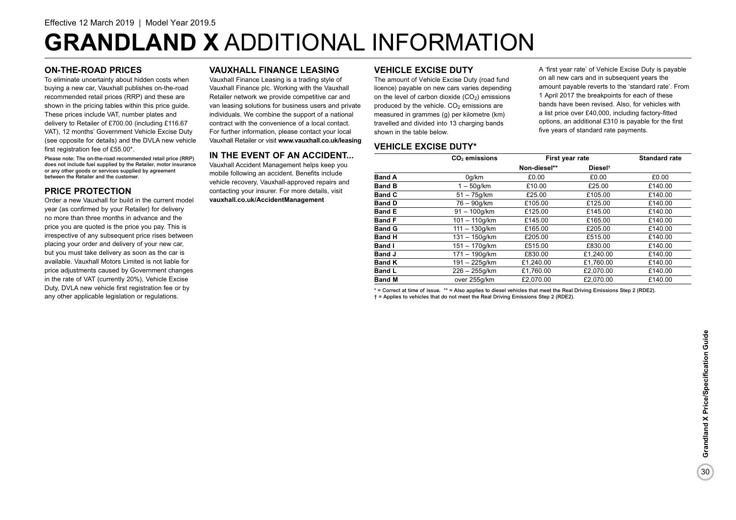# **GRANDLAND X** ADDITIONAL INFORMATION

### **ON-THE-ROAD PRICES**

To eliminate uncertainty about hidden costs when buying a new car, Vauxhall publishes on-the-road recommended retail prices (RRP) and these are shown in the pricing tables within this price guide. These prices include VAT, number plates and delivery to Retailer of £700.00 (including £116.67 VAT), 12 months' Government Vehicle Excise Duty (see opposite for details) and the DVLA new vehicle first registration fee of £55.00\*.

Please note: The on-the-road recommended retail price (RRP) does not include fuel supplied by the Retailer, motor insurance or any other goods or services supplied by agreement between the Retailer and the customer.

### **PRICE PROTECTION**

Order a new Vauxhall for build in the current model year (as confirmed by your Retailer) for delivery no more than three months in advance and the price you are quoted is the price you pay. This is irrespective of any subsequent price rises between placing your order and delivery of your new car, but you must take delivery as soon as the car is available. Vauxhall Motors Limited is not liable for price adjustments caused by Government changes in the rate of VAT (currently 20%), Vehicle Excise Duty, DVLA new vehicle first registration fee or by any other applicable legislation or regulations.

### **VAUXHALL FINANCE LEASING**

Vauxhall Finance Leasing is a trading style of Vauxhall Finance plc. Working with the Vauxhall Retailer network we provide competitive car and van leasing solutions for business users and private individuals. We combine the support of a national contract with the convenience of a local contact. For further information, please contact your local Vauxhall Retailer or visit **www.vauxhall.co.uk/leasing**

### **IN THE EVENT OF AN ACCIDENT...**

Vauxhall Accident Management helps keep you mobile following an accident. Benefits include vehicle recovery, Vauxhall-approved repairs and contacting your insurer. For more details, visit **vauxhall.co.uk/AccidentManagement**

### **VEHICLE EXCISE DUTY**

The amount of Vehicle Excise Duty (road fund licence) payable on new cars varies depending on the level of carbon dioxide  $(CO<sub>2</sub>)$  emissions produced by the vehicle.  $CO<sub>2</sub>$  emissions are measured in grammes (g) per kilometre (km) travelled and divided into 13 charging bands shown in the table below.

A 'first year rate' of Vehicle Excise Duty is payable on all new cars and in subsequent years the amount payable reverts to the 'standard rate'. From 1 April 2017 the breakpoints for each of these bands have been revised. Also, for vehicles with a list price over £40,000, including factory-fitted options, an additional £310 is payable for the first five years of standard rate payments.

### **VEHICLE EXCISE DUTY\***

|               | CO <sub>2</sub> emissions | First year rate |                     | <b>Standard rate</b> |
|---------------|---------------------------|-----------------|---------------------|----------------------|
|               |                           | Non-diesel**    | Diesel <sup>t</sup> |                      |
| <b>Band A</b> | 0q/km                     | £0.00           | £0.00               | £0.00                |
| <b>Band B</b> | $1-50q/km$                | £10.00          | £25.00              | £140.00              |
| <b>Band C</b> | $51 - 75q/km$             | £25.00          | £105.00             | £140.00              |
| <b>Band D</b> | 76 – 90a/km               | £105.00         | £125.00             | £140.00              |
| <b>Band E</b> | $91 - 100q/km$            | £125.00         | £145.00             | £140.00              |
| <b>Band F</b> | $101 - 110a/km$           | £145.00         | £165.00             | £140.00              |
| <b>Band G</b> | $111 - 130q/km$           | £165.00         | £205.00             | £140.00              |
| <b>Band H</b> | $131 - 150q/km$           | £205.00         | £515.00             | £140.00              |
| <b>Band I</b> | $151 - 170q/km$           | £515.00         | £830.00             | £140.00              |
| <b>Band J</b> | $171 - 190q/km$           | £830.00         | £1.240.00           | £140.00              |
| <b>Band K</b> | $191 - 225$ g/km          | £1.240.00       | £1.760.00           | £140.00              |
| <b>Band L</b> | $226 - 255$ g/km          | £1,760.00       | £2.070.00           | £140.00              |
| <b>Band M</b> | over 255g/km              | £2.070.00       | £2.070.00           | £140.00              |

\* = Correct at time of issue. \*\* = Also applies to diesel vehicles that meet the Real Driving Emissions Step 2 (RDE2). † = Applies to vehicles that do not meet the Real Driving Emissions Step 2 (RDE2).